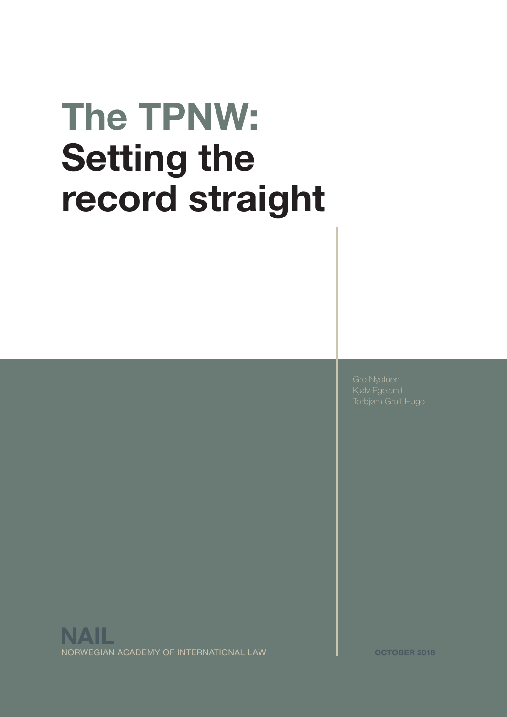# **The TPNW: Setting the record straight**

NORWEGIAN ACADEMY OF INTERNATIONAL LAW **OCTOBER 2018 NAIL**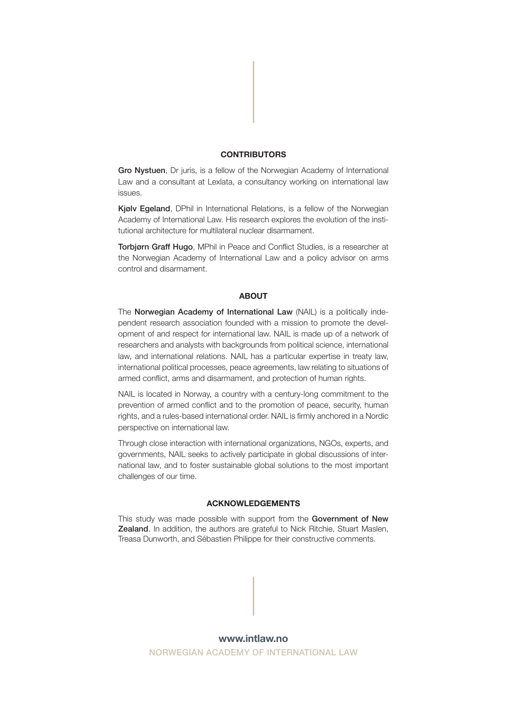#### **CONTRIBUTORS**

Gro Nystuen, Dr juris, is a fellow of the Norwegian Academy of International Law and a consultant at Lexlata, a consultancy working on international law issues.

Kjølv Egeland, DPhil in International Relations, is a fellow of the Norwegian Academy of International Law. His research explores the evolution of the institutional architecture for multilateral nuclear disarmament.

Torbjørn Graff Hugo, MPhil in Peace and Conflict Studies, is a researcher at the Norwegian Academy of International Law and a policy advisor on arms control and disarmament.

#### **ABOUT**

The Norwegian Academy of International Law (NAIL) is a politically independent research association founded with a mission to promote the development of and respect for international law. NAIL is made up of a network of researchers and analysts with backgrounds from political science, international law, and international relations. NAIL has a particular expertise in treaty law, international political processes, peace agreements, law relating to situations of armed conflict, arms and disarmament, and protection of human rights.

NAIL is located in Norway, a country with a century-long commitment to the prevention of armed conflict and to the promotion of peace, security, human rights, and a rules-based international order. NAIL is firmly anchored in a Nordic perspective on international law.

Through close interaction with international organizations, NGOs, experts, and governments, NAIL seeks to actively participate in global discussions of international law, and to foster sustainable global solutions to the most important challenges of our time.

#### **ACKNOWLEDGEMENTS**

This study was made possible with support from the Government of New Zealand. In addition, the authors are grateful to Nick Ritchie, Stuart Maslen, Treasa Dunworth, and Sébastien Philippe for their constructive comments.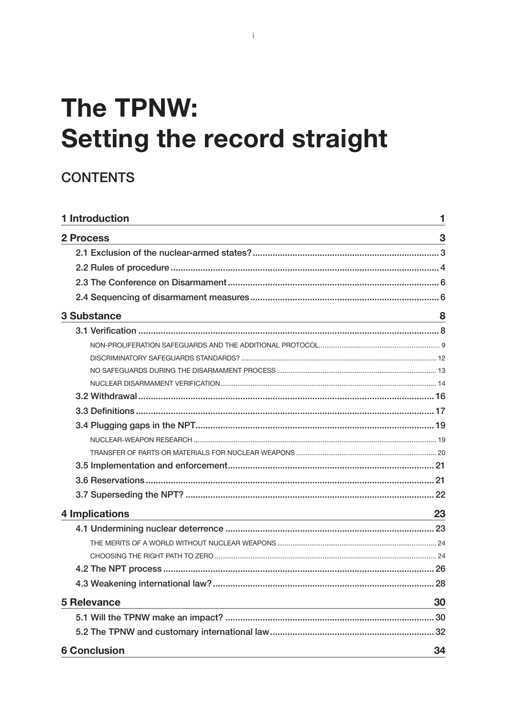# **The TPNW: Setting the record straight**

## **CONTENTS**

| 1 Introduction                                                                                                                                                                                                                                         | 1  |
|--------------------------------------------------------------------------------------------------------------------------------------------------------------------------------------------------------------------------------------------------------|----|
| 2 Process<br>and the control of the control of the control of the control of the control of the control of the control of the                                                                                                                          | 3  |
|                                                                                                                                                                                                                                                        |    |
|                                                                                                                                                                                                                                                        |    |
|                                                                                                                                                                                                                                                        |    |
|                                                                                                                                                                                                                                                        |    |
| <b>3 Substance</b><br>and the control of the control of the control of the control of the control of the control of the control of the                                                                                                                 | 8  |
|                                                                                                                                                                                                                                                        |    |
|                                                                                                                                                                                                                                                        |    |
|                                                                                                                                                                                                                                                        |    |
|                                                                                                                                                                                                                                                        |    |
|                                                                                                                                                                                                                                                        |    |
|                                                                                                                                                                                                                                                        |    |
|                                                                                                                                                                                                                                                        |    |
|                                                                                                                                                                                                                                                        |    |
|                                                                                                                                                                                                                                                        |    |
|                                                                                                                                                                                                                                                        |    |
|                                                                                                                                                                                                                                                        |    |
|                                                                                                                                                                                                                                                        |    |
|                                                                                                                                                                                                                                                        |    |
| <b>4 Implications</b><br>the control of the control of the control of the control of the control of the control of the control of the control of the control of the control of the control of the control of the control of the control of the control | 23 |
|                                                                                                                                                                                                                                                        |    |
|                                                                                                                                                                                                                                                        |    |
|                                                                                                                                                                                                                                                        |    |
|                                                                                                                                                                                                                                                        |    |
|                                                                                                                                                                                                                                                        |    |
| <b>5 Relevance</b>                                                                                                                                                                                                                                     | 30 |
|                                                                                                                                                                                                                                                        | 30 |
|                                                                                                                                                                                                                                                        | 32 |
| <b>6 Conclusion</b>                                                                                                                                                                                                                                    | 34 |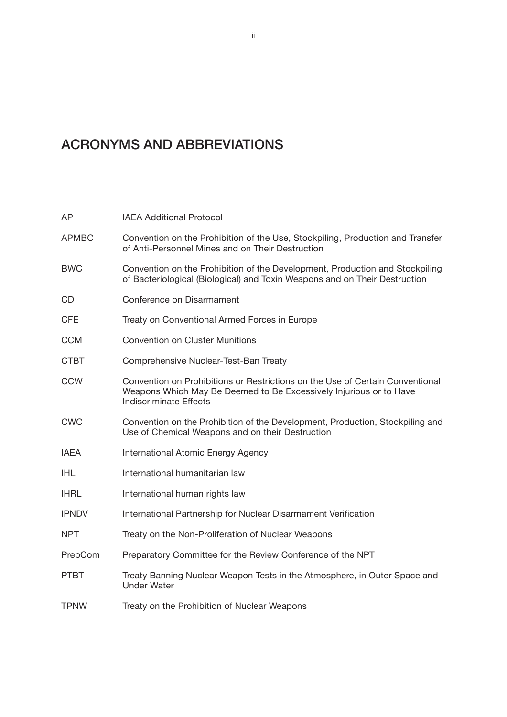## ACRONYMS AND ABBREVIATIONS

| AP           | <b>IAEA Additional Protocol</b>                                                                                                                                                      |
|--------------|--------------------------------------------------------------------------------------------------------------------------------------------------------------------------------------|
| <b>APMBC</b> | Convention on the Prohibition of the Use, Stockpiling, Production and Transfer<br>of Anti-Personnel Mines and on Their Destruction                                                   |
| <b>BWC</b>   | Convention on the Prohibition of the Development, Production and Stockpiling<br>of Bacteriological (Biological) and Toxin Weapons and on Their Destruction                           |
| <b>CD</b>    | Conference on Disarmament                                                                                                                                                            |
| <b>CFE</b>   | Treaty on Conventional Armed Forces in Europe                                                                                                                                        |
| <b>CCM</b>   | <b>Convention on Cluster Munitions</b>                                                                                                                                               |
| <b>CTBT</b>  | Comprehensive Nuclear-Test-Ban Treaty                                                                                                                                                |
| <b>CCW</b>   | Convention on Prohibitions or Restrictions on the Use of Certain Conventional<br>Weapons Which May Be Deemed to Be Excessively Injurious or to Have<br><b>Indiscriminate Effects</b> |
| <b>CWC</b>   | Convention on the Prohibition of the Development, Production, Stockpiling and<br>Use of Chemical Weapons and on their Destruction                                                    |
| <b>IAEA</b>  | International Atomic Energy Agency                                                                                                                                                   |
| <b>IHL</b>   | International humanitarian law                                                                                                                                                       |
| <b>IHRL</b>  | International human rights law                                                                                                                                                       |
| <b>IPNDV</b> | International Partnership for Nuclear Disarmament Verification                                                                                                                       |
| <b>NPT</b>   | Treaty on the Non-Proliferation of Nuclear Weapons                                                                                                                                   |
| PrepCom      | Preparatory Committee for the Review Conference of the NPT                                                                                                                           |
| <b>PTBT</b>  | Treaty Banning Nuclear Weapon Tests in the Atmosphere, in Outer Space and<br><b>Under Water</b>                                                                                      |
| <b>TPNW</b>  | Treaty on the Prohibition of Nuclear Weapons                                                                                                                                         |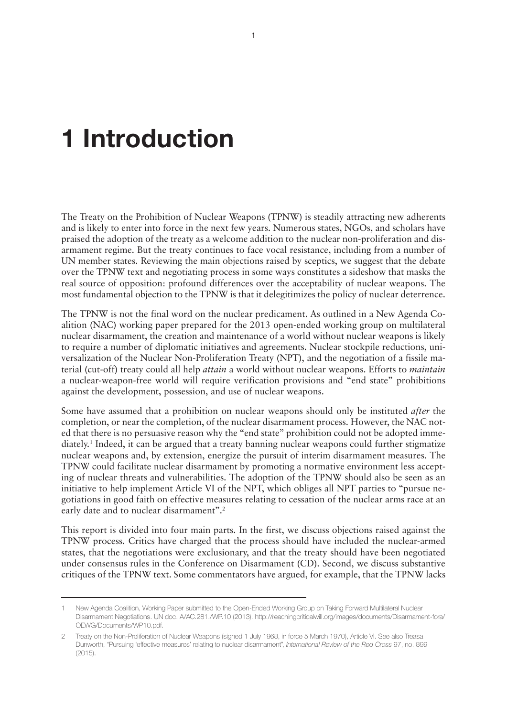# <span id="page-4-0"></span>**1 Introduction**

The Treaty on the Prohibition of Nuclear Weapons (TPNW) is steadily attracting new adherents and is likely to enter into force in the next few years. Numerous states, NGOs, and scholars have praised the adoption of the treaty as a welcome addition to the nuclear non-proliferation and disarmament regime. But the treaty continues to face vocal resistance, including from a number of UN member states. Reviewing the main objections raised by sceptics, we suggest that the debate over the TPNW text and negotiating process in some ways constitutes a sideshow that masks the real source of opposition: profound differences over the acceptability of nuclear weapons. The most fundamental objection to the TPNW is that it delegitimizes the policy of nuclear deterrence.

The TPNW is not the final word on the nuclear predicament. As outlined in a New Agenda Coalition (NAC) working paper prepared for the 2013 open-ended working group on multilateral nuclear disarmament, the creation and maintenance of a world without nuclear weapons is likely to require a number of diplomatic initiatives and agreements. Nuclear stockpile reductions, universalization of the Nuclear Non-Proliferation Treaty (NPT), and the negotiation of a fissile material (cut-off) treaty could all help *attain* a world without nuclear weapons. Efforts to *maintain* a nuclear-weapon-free world will require verification provisions and "end state" prohibitions against the development, possession, and use of nuclear weapons.

Some have assumed that a prohibition on nuclear weapons should only be instituted *after* the completion, or near the completion, of the nuclear disarmament process. However, the NAC noted that there is no persuasive reason why the "end state" prohibition could not be adopted immediately.<sup>1</sup> Indeed, it can be argued that a treaty banning nuclear weapons could further stigmatize nuclear weapons and, by extension, energize the pursuit of interim disarmament measures. The TPNW could facilitate nuclear disarmament by promoting a normative environment less accepting of nuclear threats and vulnerabilities. The adoption of the TPNW should also be seen as an initiative to help implement Article VI of the NPT, which obliges all NPT parties to "pursue negotiations in good faith on effective measures relating to cessation of the nuclear arms race at an early date and to nuclear disarmament".<sup>2</sup>

This report is divided into four main parts. In the first, we discuss objections raised against the TPNW process. Critics have charged that the process should have included the nuclear-armed states, that the negotiations were exclusionary, and that the treaty should have been negotiated under consensus rules in the Conference on Disarmament (CD). Second, we discuss substantive critiques of the TPNW text. Some commentators have argued, for example, that the TPNW lacks

<sup>1</sup> New Agenda Coalition, Working Paper submitted to the Open-Ended Working Group on Taking Forward Multilateral Nuclear Disarmament Negotiations. UN doc. A/AC.281./WP.10 (2013). [http://reachingcriticalwill.org/images/documents/Disarmament-fora/](http://reachingcriticalwill.org/images/documents/Disarmament-fora/OEWG/Documents/WP10.pdf) [OEWG/Documents/WP10.pdf](http://reachingcriticalwill.org/images/documents/Disarmament-fora/OEWG/Documents/WP10.pdf).

<sup>2</sup> Treaty on the Non-Proliferation of Nuclear Weapons (signed 1 July 1968, in force 5 March 1970), Article VI. See also Treasa Dunworth, "Pursuing 'effective measures' relating to nuclear disarmament", *International Review of the Red Cross* 97, no. 899  $(2015)$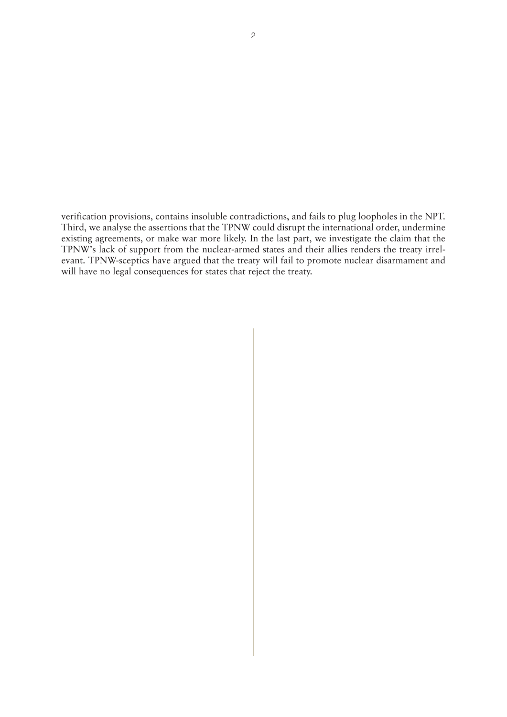verification provisions, contains insoluble contradictions, and fails to plug loopholes in the NPT. Third, we analyse the assertions that the TPNW could disrupt the international order, undermine existing agreements, or make war more likely. In the last part, we investigate the claim that the TPNW's lack of support from the nuclear-armed states and their allies renders the treaty irrelevant. TPNW-sceptics have argued that the treaty will fail to promote nuclear disarmament and will have no legal consequences for states that reject the treaty.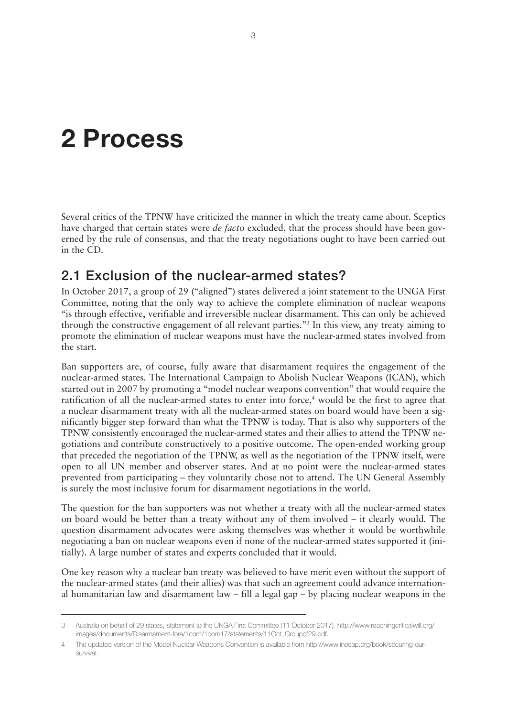# <span id="page-6-0"></span>**2 Process**

Several critics of the TPNW have criticized the manner in which the treaty came about. Sceptics have charged that certain states were *de facto* excluded, that the process should have been governed by the rule of consensus, and that the treaty negotiations ought to have been carried out in the CD.

### 2.1 Exclusion of the nuclear-armed states?

In October 2017, a group of 29 ("aligned") states delivered a joint statement to the UNGA First Committee, noting that the only way to achieve the complete elimination of nuclear weapons "is through effective, verifiable and irreversible nuclear disarmament. This can only be achieved through the constructive engagement of all relevant parties."3 In this view, any treaty aiming to promote the elimination of nuclear weapons must have the nuclear-armed states involved from the start.

Ban supporters are, of course, fully aware that disarmament requires the engagement of the nuclear-armed states. The International Campaign to Abolish Nuclear Weapons (ICAN), which started out in 2007 by promoting a "model nuclear weapons convention" that would require the ratification of all the nuclear-armed states to enter into force,<sup>4</sup> would be the first to agree that a nuclear disarmament treaty with all the nuclear-armed states on board would have been a significantly bigger step forward than what the TPNW is today. That is also why supporters of the TPNW consistently encouraged the nuclear-armed states and their allies to attend the TPNW negotiations and contribute constructively to a positive outcome. The open-ended working group that preceded the negotiation of the TPNW, as well as the negotiation of the TPNW itself, were open to all UN member and observer states. And at no point were the nuclear-armed states prevented from participating – they voluntarily chose not to attend. The UN General Assembly is surely the most inclusive forum for disarmament negotiations in the world.

The question for the ban supporters was not whether a treaty with all the nuclear-armed states on board would be better than a treaty without any of them involved – it clearly would. The question disarmament advocates were asking themselves was whether it would be worthwhile negotiating a ban on nuclear weapons even if none of the nuclear-armed states supported it (initially). A large number of states and experts concluded that it would.

One key reason why a nuclear ban treaty was believed to have merit even without the support of the nuclear-armed states (and their allies) was that such an agreement could advance international humanitarian law and disarmament law – fill a legal gap – by placing nuclear weapons in the

<sup>3</sup> Australia on behalf of 29 states, statement to the UNGA First Committee (11 October 2017). [http://www.reachingcriticalwill.org/](http://www.reachingcriticalwill.org/images/documents/Disarmament-fora/1com/1com17/statements/11Oct_Groupof29.pdf) [images/documents/Disarmament-fora/1com/1com17/statements/11Oct\\_Groupof29.pdf.](http://www.reachingcriticalwill.org/images/documents/Disarmament-fora/1com/1com17/statements/11Oct_Groupof29.pdf)

<sup>4</sup> The updated version of the Model Nuclear Weapons Convention is available from [http://www.inesap.org/book/securing-our](http://www.inesap.org/book/securing-our-survival)[survival](http://www.inesap.org/book/securing-our-survival).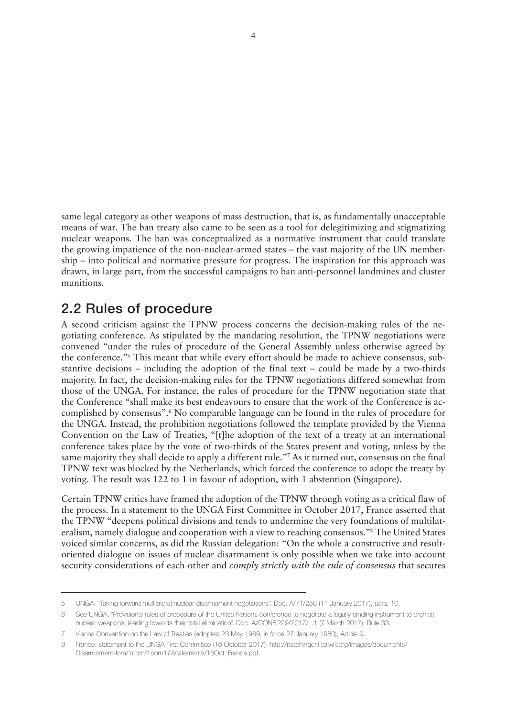<span id="page-7-0"></span>same legal category as other weapons of mass destruction, that is, as fundamentally unacceptable means of war. The ban treaty also came to be seen as a tool for delegitimizing and stigmatizing nuclear weapons. The ban was conceptualized as a normative instrument that could translate the growing impatience of the non-nuclear-armed states – the vast majority of the UN membership – into political and normative pressure for progress. The inspiration for this approach was drawn, in large part, from the successful campaigns to ban anti-personnel landmines and cluster munitions.

#### 2.2 Rules of procedure

A second criticism against the TPNW process concerns the decision-making rules of the negotiating conference. As stipulated by the mandating resolution, the TPNW negotiations were convened "under the rules of procedure of the General Assembly unless otherwise agreed by the conference."5 This meant that while every effort should be made to achieve consensus, substantive decisions – including the adoption of the final text – could be made by a two-thirds majority. In fact, the decision-making rules for the TPNW negotiations differed somewhat from those of the UNGA. For instance, the rules of procedure for the TPNW negotiation state that the Conference "shall make its best endeavours to ensure that the work of the Conference is accomplished by consensus".6 No comparable language can be found in the rules of procedure for the UNGA. Instead, the prohibition negotiations followed the template provided by the Vienna Convention on the Law of Treaties, "[t]he adoption of the text of a treaty at an international conference takes place by the vote of two-thirds of the States present and voting, unless by the same majority they shall decide to apply a different rule."<sup>7</sup> As it turned out, consensus on the final TPNW text was blocked by the Netherlands, which forced the conference to adopt the treaty by voting. The result was 122 to 1 in favour of adoption, with 1 abstention (Singapore).

Certain TPNW critics have framed the adoption of the TPNW through voting as a critical flaw of the process. In a statement to the UNGA First Committee in October 2017, France asserted that the TPNW "deepens political divisions and tends to undermine the very foundations of multilateralism, namely dialogue and cooperation with a view to reaching consensus."8 The United States voiced similar concerns, as did the Russian delegation: "On the whole a constructive and resultoriented dialogue on issues of nuclear disarmament is only possible when we take into account security considerations of each other and *comply strictly with the rule of consensus* that secures

<sup>5</sup> UNGA, "Taking forward multilateral nuclear disarmament negotiations". Doc. A/71/258 (11 January 2017), para. 10.

<sup>6</sup> See UNGA, "Provisional rules of procedure of the United Nations conference to negotiate a legally binding instrument to prohibit nuclear weapons, leading towards their total elimination". Doc. A/CONF.229/2017/L.1 (7 March 2017), Rule 33.

<sup>7</sup> Vienna Convention on the Law of Treaties (adopted 23 May 1969, in force 27 January 1980), Article 9.

France, statement to the UNGA First Committee (16 October 2017). [http://reachingcriticalwill.org/images/documents/](http://reachingcriticalwill.org/images/documents/Disarmament-fora/1com/1com17/statements/16Oct_France.pdf) [Disarmament-fora/1com/1com17/statements/16Oct\\_France.pdf](http://reachingcriticalwill.org/images/documents/Disarmament-fora/1com/1com17/statements/16Oct_France.pdf).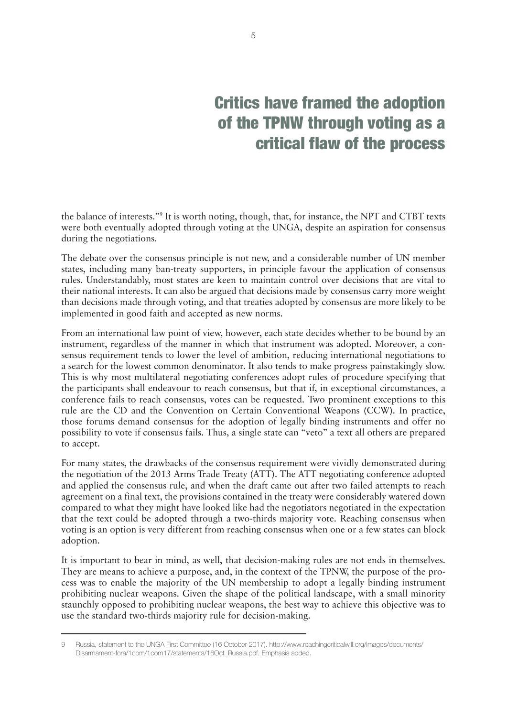# Critics have framed the adoption of the TPNW through voting as a critical flaw of the process

the balance of interests."<sup>9</sup> It is worth noting, though, that, for instance, the NPT and CTBT texts were both eventually adopted through voting at the UNGA, despite an aspiration for consensus during the negotiations.

The debate over the consensus principle is not new, and a considerable number of UN member states, including many ban-treaty supporters, in principle favour the application of consensus rules. Understandably, most states are keen to maintain control over decisions that are vital to their national interests. It can also be argued that decisions made by consensus carry more weight than decisions made through voting, and that treaties adopted by consensus are more likely to be implemented in good faith and accepted as new norms.

From an international law point of view, however, each state decides whether to be bound by an instrument, regardless of the manner in which that instrument was adopted. Moreover, a consensus requirement tends to lower the level of ambition, reducing international negotiations to a search for the lowest common denominator. It also tends to make progress painstakingly slow. This is why most multilateral negotiating conferences adopt rules of procedure specifying that the participants shall endeavour to reach consensus, but that if, in exceptional circumstances, a conference fails to reach consensus, votes can be requested. Two prominent exceptions to this rule are the CD and the Convention on Certain Conventional Weapons (CCW). In practice, those forums demand consensus for the adoption of legally binding instruments and offer no possibility to vote if consensus fails. Thus, a single state can "veto" a text all others are prepared to accept.

For many states, the drawbacks of the consensus requirement were vividly demonstrated during the negotiation of the 2013 Arms Trade Treaty (ATT). The ATT negotiating conference adopted and applied the consensus rule, and when the draft came out after two failed attempts to reach agreement on a final text, the provisions contained in the treaty were considerably watered down compared to what they might have looked like had the negotiators negotiated in the expectation that the text could be adopted through a two-thirds majority vote. Reaching consensus when voting is an option is very different from reaching consensus when one or a few states can block adoption.

It is important to bear in mind, as well, that decision-making rules are not ends in themselves. They are means to achieve a purpose, and, in the context of the TPNW, the purpose of the process was to enable the majority of the UN membership to adopt a legally binding instrument prohibiting nuclear weapons. Given the shape of the political landscape, with a small minority staunchly opposed to prohibiting nuclear weapons, the best way to achieve this objective was to use the standard two-thirds majority rule for decision-making.

<sup>9</sup> Russia, statement to the UNGA First Committee (16 October 2017). [http://www.reachingcriticalwill.org/images/documents/](http://www.reachingcriticalwill.org/images/documents/Disarmament-fora/1com/1com17/statements/16Oct_Russia.pdf) [Disarmament-fora/1com/1com17/statements/16Oct\\_Russia.pdf](http://www.reachingcriticalwill.org/images/documents/Disarmament-fora/1com/1com17/statements/16Oct_Russia.pdf). Emphasis added.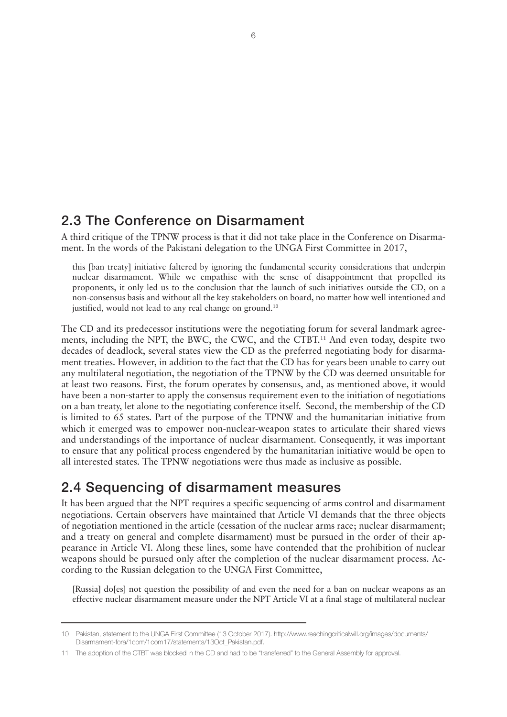### <span id="page-9-0"></span>2.3 The Conference on Disarmament

A third critique of the TPNW process is that it did not take place in the Conference on Disarmament. In the words of the Pakistani delegation to the UNGA First Committee in 2017,

this [ban treaty] initiative faltered by ignoring the fundamental security considerations that underpin nuclear disarmament. While we empathise with the sense of disappointment that propelled its proponents, it only led us to the conclusion that the launch of such initiatives outside the CD, on a non-consensus basis and without all the key stakeholders on board, no matter how well intentioned and justified, would not lead to any real change on ground.<sup>10</sup>

The CD and its predecessor institutions were the negotiating forum for several landmark agreements, including the NPT, the BWC, the CWC, and the CTBT.<sup>11</sup> And even today, despite two decades of deadlock, several states view the CD as the preferred negotiating body for disarmament treaties. However, in addition to the fact that the CD has for years been unable to carry out any multilateral negotiation, the negotiation of the TPNW by the CD was deemed unsuitable for at least two reasons. First, the forum operates by consensus, and, as mentioned above, it would have been a non-starter to apply the consensus requirement even to the initiation of negotiations on a ban treaty, let alone to the negotiating conference itself. Second, the membership of the CD is limited to 65 states. Part of the purpose of the TPNW and the humanitarian initiative from which it emerged was to empower non-nuclear-weapon states to articulate their shared views and understandings of the importance of nuclear disarmament. Consequently, it was important to ensure that any political process engendered by the humanitarian initiative would be open to all interested states. The TPNW negotiations were thus made as inclusive as possible.

#### 2.4 Sequencing of disarmament measures

It has been argued that the NPT requires a specific sequencing of arms control and disarmament negotiations. Certain observers have maintained that Article VI demands that the three objects of negotiation mentioned in the article (cessation of the nuclear arms race; nuclear disarmament; and a treaty on general and complete disarmament) must be pursued in the order of their appearance in Article VI. Along these lines, some have contended that the prohibition of nuclear weapons should be pursued only after the completion of the nuclear disarmament process. According to the Russian delegation to the UNGA First Committee,

[Russia] do[es] not question the possibility of and even the need for a ban on nuclear weapons as an effective nuclear disarmament measure under the NPT Article VI at a final stage of multilateral nuclear

<sup>10</sup> Pakistan, statement to the UNGA First Committee (13 October 2017). [http://www.reachingcriticalwill.org/images/documents/](http://www.reachingcriticalwill.org/images/documents/Disarmament-fora/1com/1com17/statements/13Oct_Pakistan.pdf) [Disarmament-fora/1com/1com17/statements/13Oct\\_Pakistan.pdf](http://www.reachingcriticalwill.org/images/documents/Disarmament-fora/1com/1com17/statements/13Oct_Pakistan.pdf).

<sup>11</sup> The adoption of the CTBT was blocked in the CD and had to be "transferred" to the General Assembly for approval.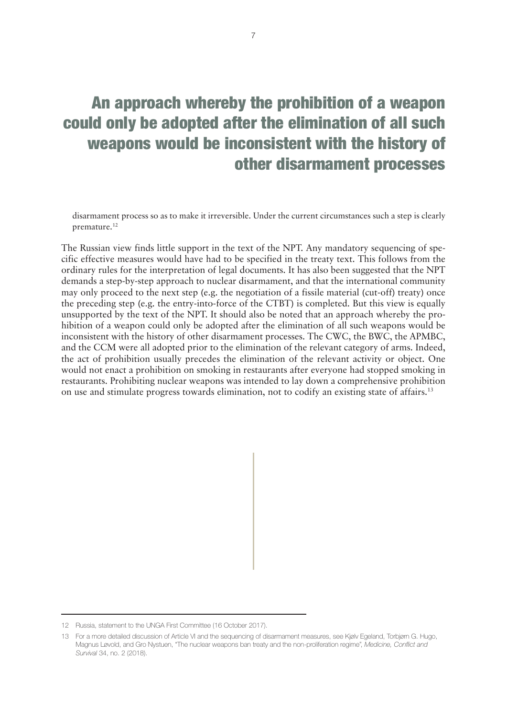## An approach whereby the prohibition of a weapon could only be adopted after the elimination of all such weapons would be inconsistent with the history of other disarmament processes

disarmament process so as to make it irreversible. Under the current circumstances such a step is clearly premature.<sup>12</sup>

The Russian view finds little support in the text of the NPT. Any mandatory sequencing of specific effective measures would have had to be specified in the treaty text. This follows from the ordinary rules for the interpretation of legal documents. It has also been suggested that the NPT demands a step-by-step approach to nuclear disarmament, and that the international community may only proceed to the next step (e.g. the negotiation of a fissile material (cut-off) treaty) once the preceding step (e.g. the entry-into-force of the CTBT) is completed. But this view is equally unsupported by the text of the NPT. It should also be noted that an approach whereby the prohibition of a weapon could only be adopted after the elimination of all such weapons would be inconsistent with the history of other disarmament processes. The CWC, the BWC, the APMBC, and the CCM were all adopted prior to the elimination of the relevant category of arms. Indeed, the act of prohibition usually precedes the elimination of the relevant activity or object. One would not enact a prohibition on smoking in restaurants after everyone had stopped smoking in restaurants. Prohibiting nuclear weapons was intended to lay down a comprehensive prohibition on use and stimulate progress towards elimination, not to codify an existing state of affairs.13

<sup>12</sup> Russia, statement to the UNGA First Committee (16 October 2017).

<sup>13</sup> For a more detailed discussion of Article VI and the sequencing of disarmament measures, see Kjølv Egeland, Torbjørn G. Hugo, Magnus Løvold, and Gro Nystuen, "The nuclear weapons ban treaty and the non-proliferation regime", *Medicine, Conflict and Survival* 34, no. 2 (2018).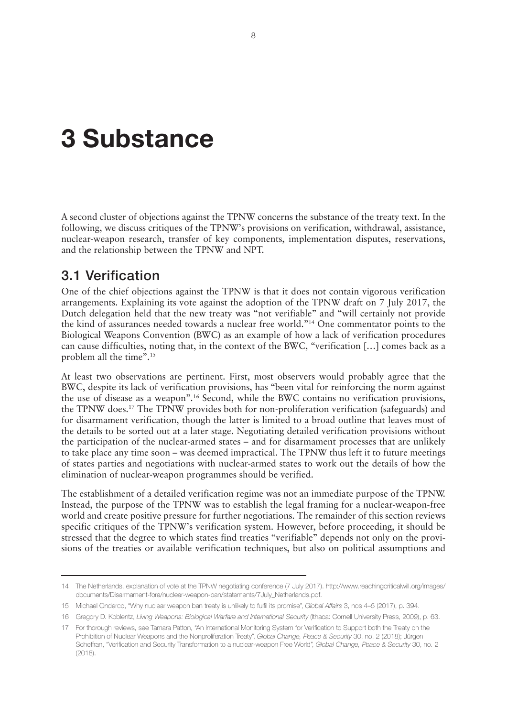# <span id="page-11-0"></span>**3 Substance**

A second cluster of objections against the TPNW concerns the substance of the treaty text. In the following, we discuss critiques of the TPNW's provisions on verification, withdrawal, assistance, nuclear-weapon research, transfer of key components, implementation disputes, reservations, and the relationship between the TPNW and NPT.

#### 3.1 Verification

One of the chief objections against the TPNW is that it does not contain vigorous verification arrangements. Explaining its vote against the adoption of the TPNW draft on 7 July 2017, the Dutch delegation held that the new treaty was "not verifiable" and "will certainly not provide the kind of assurances needed towards a nuclear free world."14 One commentator points to the Biological Weapons Convention (BWC) as an example of how a lack of verification procedures can cause difficulties, noting that, in the context of the BWC, "verification […] comes back as a problem all the time".15

At least two observations are pertinent. First, most observers would probably agree that the BWC, despite its lack of verification provisions, has "been vital for reinforcing the norm against the use of disease as a weapon".16 Second, while the BWC contains no verification provisions, the TPNW does.17 The TPNW provides both for non-proliferation verification (safeguards) and for disarmament verification, though the latter is limited to a broad outline that leaves most of the details to be sorted out at a later stage. Negotiating detailed verification provisions without the participation of the nuclear-armed states – and for disarmament processes that are unlikely to take place any time soon – was deemed impractical. The TPNW thus left it to future meetings of states parties and negotiations with nuclear-armed states to work out the details of how the elimination of nuclear-weapon programmes should be verified.

The establishment of a detailed verification regime was not an immediate purpose of the TPNW. Instead, the purpose of the TPNW was to establish the legal framing for a nuclear-weapon-free world and create positive pressure for further negotiations. The remainder of this section reviews specific critiques of the TPNW's verification system. However, before proceeding, it should be stressed that the degree to which states find treaties "verifiable" depends not only on the provisions of the treaties or available verification techniques, but also on political assumptions and

<sup>14</sup> The Netherlands, explanation of vote at the TPNW negotiating conference (7 July 2017). [http://www.reachingcriticalwill.org/images/](http://www.reachingcriticalwill.org/images/documents/Disarmament-fora/nuclear-weapon-ban/statements/7July_Netherlands.pdf) [documents/Disarmament-fora/nuclear-weapon-ban/statements/7July\\_Netherlands.pdf](http://www.reachingcriticalwill.org/images/documents/Disarmament-fora/nuclear-weapon-ban/statements/7July_Netherlands.pdf).

<sup>15</sup> Michael Onderco, "Why nuclear weapon ban treaty is unlikely to fulfil its promise", *Global Affairs* 3, nos 4–5 (2017), p. 394.

<sup>16</sup> Gregory D. Koblentz, *Living Weapons: Biological Warfare and International Security* (Ithaca: Cornell University Press, 2009), p. 63.

<sup>17</sup> For thorough reviews, see Tamara Patton, "An International Monitoring System for Verification to Support both the Treaty on the Prohibition of Nuclear Weapons and the Nonproliferation Treaty", *Global Change, Peace & Security* 30, no. 2 (2018); Jürgen Scheffran, "Verification and Security Transformation to a nuclear-weapon Free World", *Global Change, Peace & Security* 30, no. 2  $(2018)$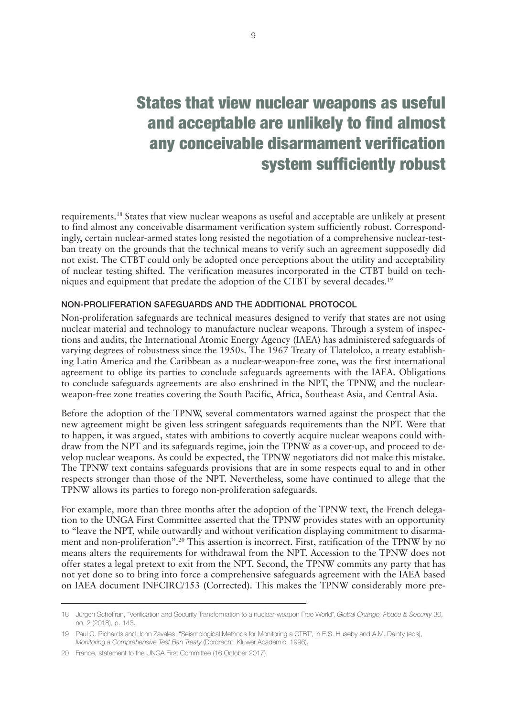## <span id="page-12-0"></span>States that view nuclear weapons as useful and acceptable are unlikely to find almost any conceivable disarmament verification system sufficiently robust

requirements.18 States that view nuclear weapons as useful and acceptable are unlikely at present to find almost any conceivable disarmament verification system sufficiently robust. Correspondingly, certain nuclear-armed states long resisted the negotiation of a comprehensive nuclear-testban treaty on the grounds that the technical means to verify such an agreement supposedly did not exist. The CTBT could only be adopted once perceptions about the utility and acceptability of nuclear testing shifted. The verification measures incorporated in the CTBT build on techniques and equipment that predate the adoption of the CTBT by several decades.19

#### NON-PROLIFERATION SAFEGUARDS AND THE ADDITIONAL PROTOCOL

Non-proliferation safeguards are technical measures designed to verify that states are not using nuclear material and technology to manufacture nuclear weapons. Through a system of inspections and audits, the International Atomic Energy Agency (IAEA) has administered safeguards of varying degrees of robustness since the 1950s. The 1967 Treaty of Tlatelolco, a treaty establishing Latin America and the Caribbean as a nuclear-weapon-free zone, was the first international agreement to oblige its parties to conclude safeguards agreements with the IAEA. Obligations to conclude safeguards agreements are also enshrined in the NPT, the TPNW, and the nuclearweapon-free zone treaties covering the South Pacific, Africa, Southeast Asia, and Central Asia.

Before the adoption of the TPNW, several commentators warned against the prospect that the new agreement might be given less stringent safeguards requirements than the NPT. Were that to happen, it was argued, states with ambitions to covertly acquire nuclear weapons could withdraw from the NPT and its safeguards regime, join the TPNW as a cover-up, and proceed to develop nuclear weapons. As could be expected, the TPNW negotiators did not make this mistake. The TPNW text contains safeguards provisions that are in some respects equal to and in other respects stronger than those of the NPT. Nevertheless, some have continued to allege that the TPNW allows its parties to forego non-proliferation safeguards.

For example, more than three months after the adoption of the TPNW text, the French delegation to the UNGA First Committee asserted that the TPNW provides states with an opportunity to "leave the NPT, while outwardly and without verification displaying commitment to disarmament and non-proliferation".20 This assertion is incorrect. First, ratification of the TPNW by no means alters the requirements for withdrawal from the NPT. Accession to the TPNW does not offer states a legal pretext to exit from the NPT. Second, the TPNW commits any party that has not yet done so to bring into force a comprehensive safeguards agreement with the IAEA based on IAEA document INFCIRC/153 (Corrected). This makes the TPNW considerably more pre-

<sup>18</sup> Jürgen Scheffran, "Verification and Security Transformation to a nuclear-weapon Free World", *Global Change, Peace & Security* 30, no. 2 (2018), p. 143.

<sup>19</sup> Paul G. Richards and John Zavales, "Seismological Methods for Monitoring a CTBT", in E.S. Huseby and A.M. Dainty (eds), *Monitoring a Comprehensive Test Ban Treaty* (Dordrecht: Kluwer Academic, 1996).

<sup>20</sup> France, statement to the UNGA First Committee (16 October 2017).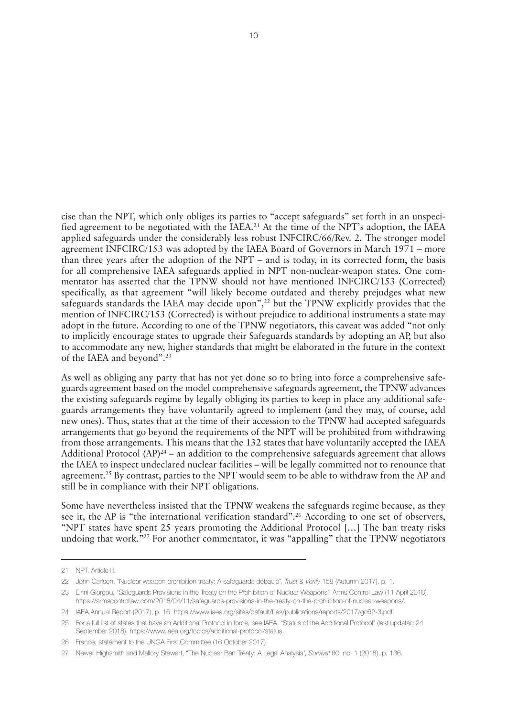cise than the NPT, which only obliges its parties to "accept safeguards" set forth in an unspecified agreement to be negotiated with the IAEA.<sup>21</sup> At the time of the NPT's adoption, the IAEA applied safeguards under the considerably less robust INFCIRC/66/Rev. 2. The stronger model agreement INFCIRC/153 was adopted by the IAEA Board of Governors in March 1971 – more than three years after the adoption of the NPT – and is today, in its corrected form, the basis for all comprehensive IAEA safeguards applied in NPT non-nuclear-weapon states. One commentator has asserted that the TPNW should not have mentioned INFCIRC/153 (Corrected) specifically, as that agreement "will likely become outdated and thereby prejudges what new safeguards standards the IAEA may decide upon", $^{22}$  but the TPNW explicitly provides that the mention of INFCIRC/153 (Corrected) is without prejudice to additional instruments a state may adopt in the future. According to one of the TPNW negotiators, this caveat was added "not only to implicitly encourage states to upgrade their Safeguards standards by adopting an AP, but also to accommodate any new, higher standards that might be elaborated in the future in the context of the IAEA and beyond".23

As well as obliging any party that has not yet done so to bring into force a comprehensive safeguards agreement based on the model comprehensive safeguards agreement, the TPNW advances the existing safeguards regime by legally obliging its parties to keep in place any additional safeguards arrangements they have voluntarily agreed to implement (and they may, of course, add new ones). Thus, states that at the time of their accession to the TPNW had accepted safeguards arrangements that go beyond the requirements of the NPT will be prohibited from withdrawing from those arrangements. This means that the 132 states that have voluntarily accepted the IAEA Additional Protocol  $(AP)^{24}$  – an addition to the comprehensive safeguards agreement that allows the IAEA to inspect undeclared nuclear facilities – will be legally committed not to renounce that agreement.<sup>25</sup> By contrast, parties to the NPT would seem to be able to withdraw from the AP and still be in compliance with their NPT obligations.

Some have nevertheless insisted that the TPNW weakens the safeguards regime because, as they see it, the AP is "the international verification standard".<sup>26</sup> According to one set of observers, "NPT states have spent 25 years promoting the Additional Protocol […] The ban treaty risks undoing that work.<sup>"27</sup> For another commentator, it was "appalling" that the TPNW negotiators

<sup>21</sup> NPT, Article III.

<sup>22</sup> John Carlson, "Nuclear weapon prohibition treaty: A safeguards debacle", *Trust & Verify* 158 (Autumn 2017), p. 1.

<sup>23</sup> Eirini Giorgou, "Safeguards Provisions in the Treaty on the Prohibition of Nuclear Weapons", Arms Control Law (11 April 2018). <https://armscontrollaw.com/2018/04/11/safeguards-provisions-in-the-treaty-on-the-prohibition-of-nuclear-weapons/>.

<sup>24</sup> IAEA Annual Report (2017), p. 16.<https://www.iaea.org/sites/default/files/publications/reports/2017/gc62-3.pdf>.

<sup>25</sup> For a full list of states that have an Additional Protocol in force, see IAEA, "Status of the Additional Protocol" (last updated 24 September 2018). <https://www.iaea.org/topics/additional-protocol/status>.

<sup>26</sup> France, statement to the UNGA First Committee (16 October 2017).

<sup>27</sup> Newell Highsmith and Mallory Stewart, "The Nuclear Ban Treaty: A Legal Analysis", *Survival* 60, no. 1 (2018), p. 136.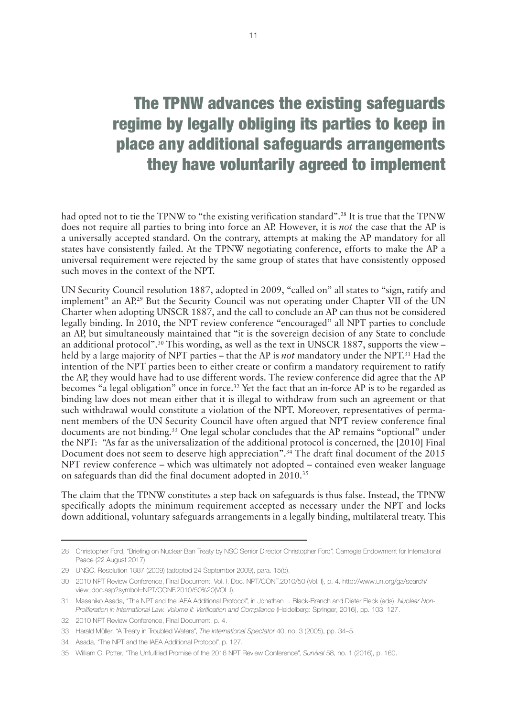## The TPNW advances the existing safeguards regime by legally obliging its parties to keep in place any additional safeguards arrangements they have voluntarily agreed to implement

had opted not to tie the TPNW to "the existing verification standard".<sup>28</sup> It is true that the TPNW does not require all parties to bring into force an AP. However, it is *not* the case that the AP is a universally accepted standard. On the contrary, attempts at making the AP mandatory for all states have consistently failed. At the TPNW negotiating conference, efforts to make the AP a universal requirement were rejected by the same group of states that have consistently opposed such moves in the context of the NPT.

UN Security Council resolution 1887, adopted in 2009, "called on" all states to "sign, ratify and implement" an AP.<sup>29</sup> But the Security Council was not operating under Chapter VII of the UN Charter when adopting UNSCR 1887, and the call to conclude an AP can thus not be considered legally binding. In 2010, the NPT review conference "encouraged" all NPT parties to conclude an AP, but simultaneously maintained that "it is the sovereign decision of any State to conclude an additional protocol".<sup>30</sup> This wording, as well as the text in UNSCR 1887, supports the view – held by a large majority of NPT parties – that the AP is *not* mandatory under the NPT.31 Had the intention of the NPT parties been to either create or confirm a mandatory requirement to ratify the AP, they would have had to use different words. The review conference did agree that the AP becomes "a legal obligation" once in force.<sup>32</sup> Yet the fact that an in-force AP is to be regarded as binding law does not mean either that it is illegal to withdraw from such an agreement or that such withdrawal would constitute a violation of the NPT. Moreover, representatives of permanent members of the UN Security Council have often argued that NPT review conference final documents are not binding.33 One legal scholar concludes that the AP remains "optional" under the NPT: "As far as the universalization of the additional protocol is concerned, the [2010] Final Document does not seem to deserve high appreciation".<sup>34</sup> The draft final document of the 2015 NPT review conference – which was ultimately not adopted – contained even weaker language on safeguards than did the final document adopted in 2010.35

The claim that the TPNW constitutes a step back on safeguards is thus false. Instead, the TPNW specifically adopts the minimum requirement accepted as necessary under the NPT and locks down additional, voluntary safeguards arrangements in a legally binding, multilateral treaty. This

<sup>28</sup> Christopher Ford, "Briefing on Nuclear Ban Treaty by NSC Senior Director Christopher Ford", Carnegie Endowment for International Peace (22 August 2017).

<sup>29</sup> UNSC, Resolution 1887 (2009) (adopted 24 September 2009), para. 15(b).

<sup>30</sup> 2010 NPT Review Conference, Final Document, Vol. I. Doc. NPT/CONF.2010/50 (Vol. I), p. 4. [http://www.un.org/ga/search/](http://www.un.org/ga/search/view_doc.asp?symbol=NPT/CONF.2010/50%20(VOL.I)) [view\\_doc.asp?symbol=NPT/CONF.2010/50%20\(VOL.I\)](http://www.un.org/ga/search/view_doc.asp?symbol=NPT/CONF.2010/50%20(VOL.I)).

<sup>31</sup> Masahiko Asada, "The NPT and the IAEA Additional Protocol", in Jonathan L. Black-Branch and Dieter Fleck (eds), *Nuclear Non-Proliferation in International Law. Volume II: Verification and Compliance* (Heidelberg: Springer, 2016), pp. 103, 127.

<sup>32</sup> 2010 NPT Review Conference, Final Document, p. 4.

<sup>33</sup> Harald Müller, "A Treaty in Troubled Waters", *The International Spectator* 40, no. 3 (2005), pp. 34–5.

<sup>34</sup> Asada, "The NPT and the IAEA Additional Protocol", p. 127.

<sup>35</sup> William C. Potter, "The Unfulfilled Promise of the 2016 NPT Review Conference", *Survival* 58, no. 1 (2016), p. 160.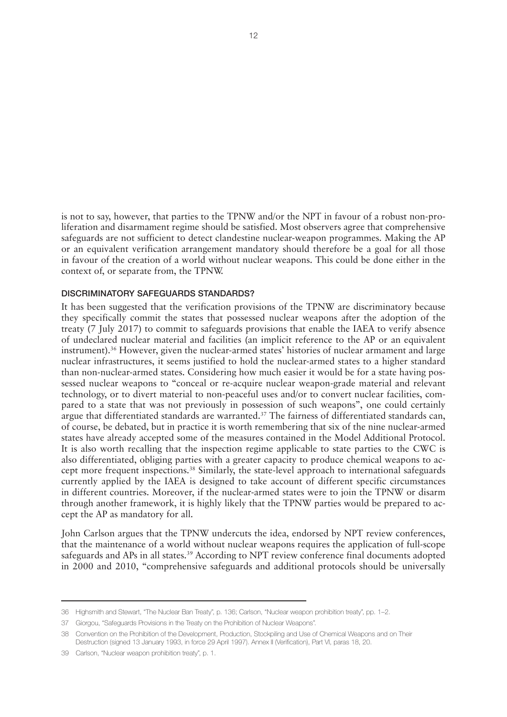<span id="page-15-0"></span>is not to say, however, that parties to the TPNW and/or the NPT in favour of a robust non-proliferation and disarmament regime should be satisfied. Most observers agree that comprehensive safeguards are not sufficient to detect clandestine nuclear-weapon programmes. Making the AP or an equivalent verification arrangement mandatory should therefore be a goal for all those in favour of the creation of a world without nuclear weapons. This could be done either in the context of, or separate from, the TPNW.

#### DISCRIMINATORY SAFEGUARDS STANDARDS?

It has been suggested that the verification provisions of the TPNW are discriminatory because they specifically commit the states that possessed nuclear weapons after the adoption of the treaty (7 July 2017) to commit to safeguards provisions that enable the IAEA to verify absence of undeclared nuclear material and facilities (an implicit reference to the AP or an equivalent instrument).36 However, given the nuclear-armed states' histories of nuclear armament and large nuclear infrastructures, it seems justified to hold the nuclear-armed states to a higher standard than non-nuclear-armed states. Considering how much easier it would be for a state having possessed nuclear weapons to "conceal or re-acquire nuclear weapon-grade material and relevant technology, or to divert material to non-peaceful uses and/or to convert nuclear facilities, compared to a state that was not previously in possession of such weapons", one could certainly argue that differentiated standards are warranted.<sup>37</sup> The fairness of differentiated standards can, of course, be debated, but in practice it is worth remembering that six of the nine nuclear-armed states have already accepted some of the measures contained in the Model Additional Protocol. It is also worth recalling that the inspection regime applicable to state parties to the CWC is also differentiated, obliging parties with a greater capacity to produce chemical weapons to accept more frequent inspections.38 Similarly, the state-level approach to international safeguards currently applied by the IAEA is designed to take account of different specific circumstances in different countries. Moreover, if the nuclear-armed states were to join the TPNW or disarm through another framework, it is highly likely that the TPNW parties would be prepared to accept the AP as mandatory for all.

John Carlson argues that the TPNW undercuts the idea, endorsed by NPT review conferences, that the maintenance of a world without nuclear weapons requires the application of full-scope safeguards and APs in all states.<sup>39</sup> According to NPT review conference final documents adopted in 2000 and 2010, "comprehensive safeguards and additional protocols should be universally

<sup>36</sup> Highsmith and Stewart, "The Nuclear Ban Treaty", p. 136; Carlson, "Nuclear weapon prohibition treaty", pp. 1–2.

<sup>37</sup> Giorgou, "Safeguards Provisions in the Treaty on the Prohibition of Nuclear Weapons".

<sup>38</sup> Convention on the Prohibition of the Development, Production, Stockpiling and Use of Chemical Weapons and on Their Destruction (signed 13 January 1993, in force 29 April 1997). Annex II (Verification), Part VI, paras 18, 20.

<sup>39</sup> Carlson, "Nuclear weapon prohibition treaty", p. 1.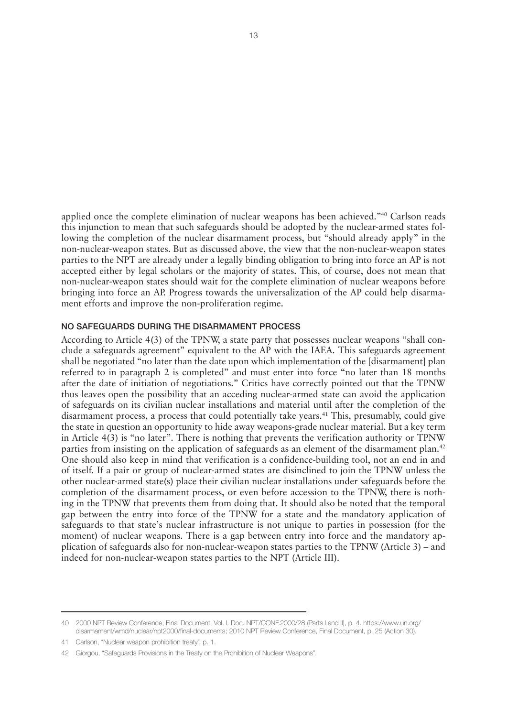<span id="page-16-0"></span>applied once the complete elimination of nuclear weapons has been achieved."40 Carlson reads this injunction to mean that such safeguards should be adopted by the nuclear-armed states following the completion of the nuclear disarmament process, but "should already apply" in the non-nuclear-weapon states. But as discussed above, the view that the non-nuclear-weapon states parties to the NPT are already under a legally binding obligation to bring into force an AP is not accepted either by legal scholars or the majority of states. This, of course, does not mean that non-nuclear-weapon states should wait for the complete elimination of nuclear weapons before bringing into force an AP. Progress towards the universalization of the AP could help disarmament efforts and improve the non-proliferation regime.

#### NO SAFEGUARDS DURING THE DISARMAMENT PROCESS

According to Article 4(3) of the TPNW, a state party that possesses nuclear weapons "shall conclude a safeguards agreement" equivalent to the AP with the IAEA. This safeguards agreement shall be negotiated "no later than the date upon which implementation of the [disarmament] plan referred to in paragraph 2 is completed" and must enter into force "no later than 18 months after the date of initiation of negotiations." Critics have correctly pointed out that the TPNW thus leaves open the possibility that an acceding nuclear-armed state can avoid the application of safeguards on its civilian nuclear installations and material until after the completion of the disarmament process, a process that could potentially take years.41 This, presumably, could give the state in question an opportunity to hide away weapons-grade nuclear material. But a key term in Article 4(3) is "no later". There is nothing that prevents the verification authority or TPNW parties from insisting on the application of safeguards as an element of the disarmament plan.42 One should also keep in mind that verification is a confidence-building tool, not an end in and of itself. If a pair or group of nuclear-armed states are disinclined to join the TPNW unless the other nuclear-armed state(s) place their civilian nuclear installations under safeguards before the completion of the disarmament process, or even before accession to the TPNW, there is nothing in the TPNW that prevents them from doing that. It should also be noted that the temporal gap between the entry into force of the TPNW for a state and the mandatory application of safeguards to that state's nuclear infrastructure is not unique to parties in possession (for the moment) of nuclear weapons. There is a gap between entry into force and the mandatory application of safeguards also for non-nuclear-weapon states parties to the TPNW (Article 3) – and indeed for non-nuclear-weapon states parties to the NPT (Article III).

<sup>40</sup> 2000 NPT Review Conference, Final Document, Vol. I. Doc. NPT/CONF.2000/28 (Parts I and II), p. 4. [https://www.un.org/](https://www.un.org/disarmament/wmd/nuclear/npt2000/final-documents) [disarmament/wmd/nuclear/npt2000/final-documents;](https://www.un.org/disarmament/wmd/nuclear/npt2000/final-documents) 2010 NPT Review Conference, Final Document, p. 25 (Action 30).

<sup>41</sup> Carlson, "Nuclear weapon prohibition treaty", p. 1.

<sup>42</sup> Giorgou, "Safeguards Provisions in the Treaty on the Prohibition of Nuclear Weapons".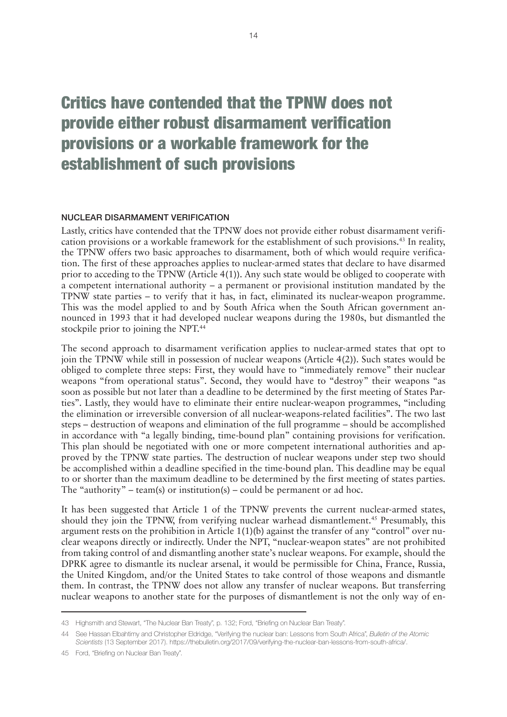## <span id="page-17-0"></span>Critics have contended that the TPNW does not provide either robust disarmament verification provisions or a workable framework for the establishment of such provisions

#### NUCLEAR DISARMAMENT VERIFICATION

Lastly, critics have contended that the TPNW does not provide either robust disarmament verification provisions or a workable framework for the establishment of such provisions.43 In reality, the TPNW offers two basic approaches to disarmament, both of which would require verification. The first of these approaches applies to nuclear-armed states that declare to have disarmed prior to acceding to the TPNW (Article 4(1)). Any such state would be obliged to cooperate with a competent international authority – a permanent or provisional institution mandated by the TPNW state parties – to verify that it has, in fact, eliminated its nuclear-weapon programme. This was the model applied to and by South Africa when the South African government announced in 1993 that it had developed nuclear weapons during the 1980s, but dismantled the stockpile prior to joining the NPT.<sup>44</sup>

The second approach to disarmament verification applies to nuclear-armed states that opt to join the TPNW while still in possession of nuclear weapons (Article 4(2)). Such states would be obliged to complete three steps: First, they would have to "immediately remove" their nuclear weapons "from operational status". Second, they would have to "destroy" their weapons "as soon as possible but not later than a deadline to be determined by the first meeting of States Parties". Lastly, they would have to eliminate their entire nuclear-weapon programmes, "including the elimination or irreversible conversion of all nuclear-weapons-related facilities". The two last steps – destruction of weapons and elimination of the full programme – should be accomplished in accordance with "a legally binding, time-bound plan" containing provisions for verification. This plan should be negotiated with one or more competent international authorities and approved by the TPNW state parties. The destruction of nuclear weapons under step two should be accomplished within a deadline specified in the time-bound plan. This deadline may be equal to or shorter than the maximum deadline to be determined by the first meeting of states parties. The "authority" – team(s) or institution(s) – could be permanent or ad hoc.

It has been suggested that Article 1 of the TPNW prevents the current nuclear-armed states, should they join the TPNW, from verifying nuclear warhead dismantlement.<sup>45</sup> Presumably, this argument rests on the prohibition in Article 1(1)(b) against the transfer of any "control" over nuclear weapons directly or indirectly. Under the NPT, "nuclear-weapon states" are not prohibited from taking control of and dismantling another state's nuclear weapons. For example, should the DPRK agree to dismantle its nuclear arsenal, it would be permissible for China, France, Russia, the United Kingdom, and/or the United States to take control of those weapons and dismantle them. In contrast, the TPNW does not allow any transfer of nuclear weapons. But transferring nuclear weapons to another state for the purposes of dismantlement is not the only way of en-

<sup>43</sup> Highsmith and Stewart, "The Nuclear Ban Treaty", p. 132; Ford, "Briefing on Nuclear Ban Treaty".

<sup>44</sup> See Hassan Elbahtimy and Christopher Eldridge, "Verifying the nuclear ban: Lessons from South Africa", *Bulletin of the Atomic Scientists* (13 September 2017). [https://thebulletin.org/2017/09/verifying-the-nuclear-ban-lessons-from-south-africa/.](https://thebulletin.org/2017/09/verifying-the-nuclear-ban-lessons-from-south-africa/)

<sup>45</sup> Ford, "Briefing on Nuclear Ban Treaty".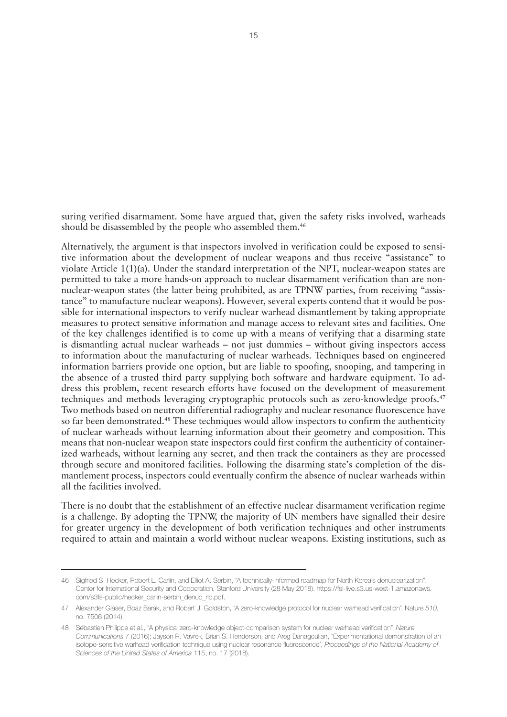suring verified disarmament. Some have argued that, given the safety risks involved, warheads should be disassembled by the people who assembled them.<sup>46</sup>

Alternatively, the argument is that inspectors involved in verification could be exposed to sensitive information about the development of nuclear weapons and thus receive "assistance" to violate Article 1(1)(a). Under the standard interpretation of the NPT, nuclear-weapon states are permitted to take a more hands-on approach to nuclear disarmament verification than are nonnuclear-weapon states (the latter being prohibited, as are TPNW parties, from receiving "assistance" to manufacture nuclear weapons). However, several experts contend that it would be possible for international inspectors to verify nuclear warhead dismantlement by taking appropriate measures to protect sensitive information and manage access to relevant sites and facilities. One of the key challenges identified is to come up with a means of verifying that a disarming state is dismantling actual nuclear warheads – not just dummies – without giving inspectors access to information about the manufacturing of nuclear warheads. Techniques based on engineered information barriers provide one option, but are liable to spoofing, snooping, and tampering in the absence of a trusted third party supplying both software and hardware equipment. To address this problem, recent research efforts have focused on the development of measurement techniques and methods leveraging cryptographic protocols such as zero-knowledge proofs.47 Two methods based on neutron differential radiography and nuclear resonance fluorescence have so far been demonstrated.<sup>48</sup> These techniques would allow inspectors to confirm the authenticity of nuclear warheads without learning information about their geometry and composition. This means that non-nuclear weapon state inspectors could first confirm the authenticity of containerized warheads, without learning any secret, and then track the containers as they are processed through secure and monitored facilities. Following the disarming state's completion of the dismantlement process, inspectors could eventually confirm the absence of nuclear warheads within all the facilities involved.

There is no doubt that the establishment of an effective nuclear disarmament verification regime is a challenge. By adopting the TPNW, the majority of UN members have signalled their desire for greater urgency in the development of both verification techniques and other instruments required to attain and maintain a world without nuclear weapons. Existing institutions, such as

<sup>46</sup> Sigfried S. Hecker, Robert L. Carlin, and Elliot A. Serbin, "A technically-informed roadmap for North Korea's denuclearization", Center for International Security and Cooperation, Stanford University (28 May 2018). https://fsi-live.s3.us-west-1.amazonaws. com/s3fs-public/hecker\_carlin-serbin\_denuc\_rlc.pdf.

<sup>47</sup> Alexander Glaser, Boaz Barak, and Robert J. Goldston, "A zero-knowledge protocol for nuclear warhead verification", Nature *510*, no. 7506 (2014).

<sup>48</sup> Sébastien Philippe et al., "A physical zero-knowledge object-comparison system for nuclear warhead verification", *Nature Communications* 7 (2016); Jayson R. Vavrek, Brian S. Henderson, and Areg Danagoulian, "Experimentational demonstration of an isotope-sensitive warhead verification technique using nuclear resonance fluorescence", *Proceedings of the National Academy of Sciences of the United States of America* 115, no. 17 (2018).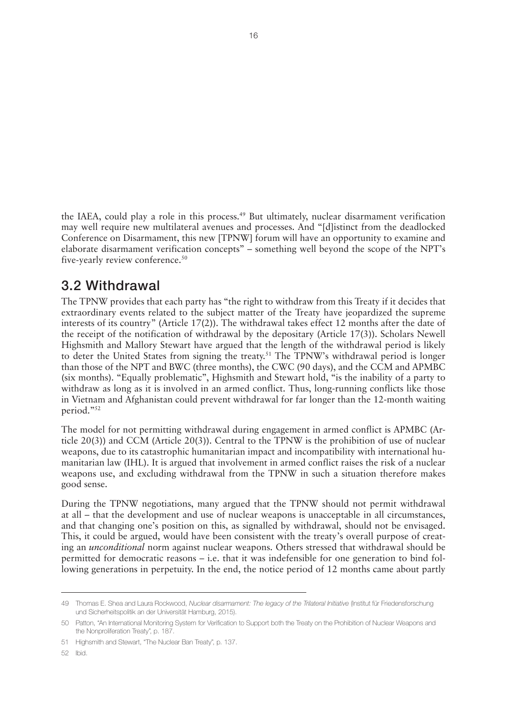<span id="page-19-0"></span>the IAEA, could play a role in this process.<sup>49</sup> But ultimately, nuclear disarmament verification may well require new multilateral avenues and processes. And "[d]istinct from the deadlocked Conference on Disarmament, this new [TPNW] forum will have an opportunity to examine and elaborate disarmament verification concepts" – something well beyond the scope of the NPT's five-yearly review conference.<sup>50</sup>

#### 3.2 Withdrawal

The TPNW provides that each party has "the right to withdraw from this Treaty if it decides that extraordinary events related to the subject matter of the Treaty have jeopardized the supreme interests of its country" (Article 17(2)). The withdrawal takes effect 12 months after the date of the receipt of the notification of withdrawal by the depositary (Article 17(3)). Scholars Newell Highsmith and Mallory Stewart have argued that the length of the withdrawal period is likely to deter the United States from signing the treaty.51 The TPNW's withdrawal period is longer than those of the NPT and BWC (three months), the CWC (90 days), and the CCM and APMBC (six months). "Equally problematic", Highsmith and Stewart hold, "is the inability of a party to withdraw as long as it is involved in an armed conflict. Thus, long-running conflicts like those in Vietnam and Afghanistan could prevent withdrawal for far longer than the 12-month waiting period."52

The model for not permitting withdrawal during engagement in armed conflict is APMBC (Article 20(3)) and CCM (Article 20(3)). Central to the TPNW is the prohibition of use of nuclear weapons, due to its catastrophic humanitarian impact and incompatibility with international humanitarian law (IHL). It is argued that involvement in armed conflict raises the risk of a nuclear weapons use, and excluding withdrawal from the TPNW in such a situation therefore makes good sense.

During the TPNW negotiations, many argued that the TPNW should not permit withdrawal at all – that the development and use of nuclear weapons is unacceptable in all circumstances, and that changing one's position on this, as signalled by withdrawal, should not be envisaged. This, it could be argued, would have been consistent with the treaty's overall purpose of creating an *unconditional* norm against nuclear weapons. Others stressed that withdrawal should be permitted for democratic reasons – i.e. that it was indefensible for one generation to bind following generations in perpetuity. In the end, the notice period of 12 months came about partly

<sup>49</sup> Thomas E. Shea and Laura Rockwood, *Nuclear disarmament: The legacy of the Trilateral Initiative* (Institut für Friedensforschung und Sicherheitspolitik an der Universität Hamburg, 2015).

<sup>50</sup> Patton, "An International Monitoring System for Verification to Support both the Treaty on the Prohibition of Nuclear Weapons and the Nonproliferation Treaty", p. 187.

<sup>51</sup> Highsmith and Stewart, "The Nuclear Ban Treaty", p. 137.

<sup>52</sup> Ibid.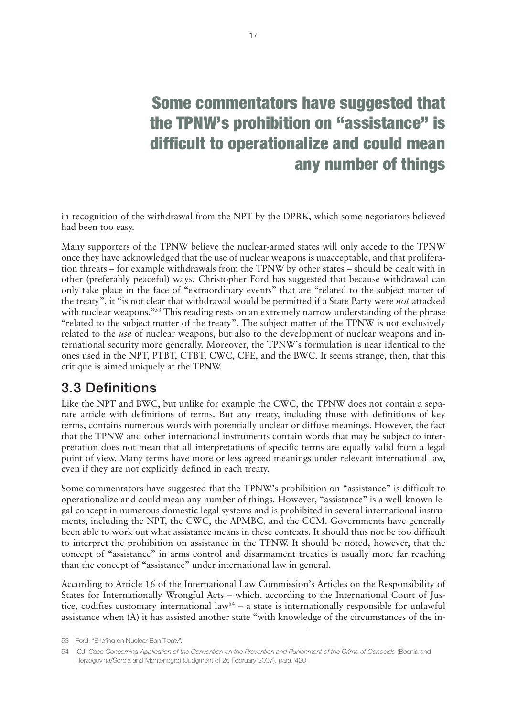# <span id="page-20-0"></span>Some commentators have suggested that the TPNW's prohibition on "assistance" is difficult to operationalize and could mean any number of things

in recognition of the withdrawal from the NPT by the DPRK, which some negotiators believed had been too easy.

Many supporters of the TPNW believe the nuclear-armed states will only accede to the TPNW once they have acknowledged that the use of nuclear weapons is unacceptable, and that proliferation threats – for example withdrawals from the TPNW by other states – should be dealt with in other (preferably peaceful) ways. Christopher Ford has suggested that because withdrawal can only take place in the face of "extraordinary events" that are "related to the subject matter of the treaty", it "is not clear that withdrawal would be permitted if a State Party were *not* attacked with nuclear weapons."<sup>53</sup> This reading rests on an extremely narrow understanding of the phrase "related to the subject matter of the treaty". The subject matter of the TPNW is not exclusively related to the *use* of nuclear weapons, but also to the development of nuclear weapons and international security more generally. Moreover, the TPNW's formulation is near identical to the ones used in the NPT, PTBT, CTBT, CWC, CFE, and the BWC. It seems strange, then, that this critique is aimed uniquely at the TPNW.

## 3.3 Definitions

Like the NPT and BWC, but unlike for example the CWC, the TPNW does not contain a separate article with definitions of terms. But any treaty, including those with definitions of key terms, contains numerous words with potentially unclear or diffuse meanings. However, the fact that the TPNW and other international instruments contain words that may be subject to interpretation does not mean that all interpretations of specific terms are equally valid from a legal point of view. Many terms have more or less agreed meanings under relevant international law, even if they are not explicitly defined in each treaty.

Some commentators have suggested that the TPNW's prohibition on "assistance" is difficult to operationalize and could mean any number of things. However, "assistance" is a well-known legal concept in numerous domestic legal systems and is prohibited in several international instruments, including the NPT, the CWC, the APMBC, and the CCM. Governments have generally been able to work out what assistance means in these contexts. It should thus not be too difficult to interpret the prohibition on assistance in the TPNW. It should be noted, however, that the concept of "assistance" in arms control and disarmament treaties is usually more far reaching than the concept of "assistance" under international law in general.

According to Article 16 of the International Law Commission's Articles on the Responsibility of States for Internationally Wrongful Acts – which, according to the International Court of Justice, codifies customary international law<sup>54</sup> – a state is internationally responsible for unlawful assistance when (A) it has assisted another state "with knowledge of the circumstances of the in-

<sup>53</sup> Ford, "Briefing on Nuclear Ban Treaty".

<sup>54</sup> ICJ, *Case Concerning Application of the Convention on the Prevention and Punishment of the Crime of Genocide* (Bosnia and Herzegovina/Serbia and Montenegro) (Judgment of 26 February 2007), para. 420.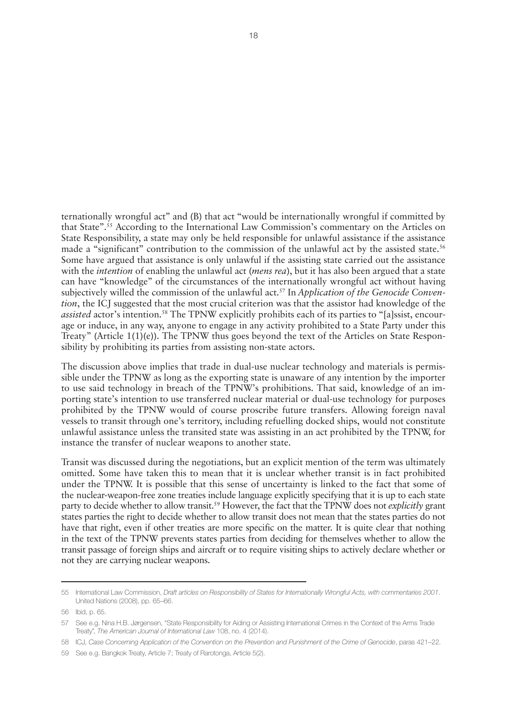ternationally wrongful act" and (B) that act "would be internationally wrongful if committed by that State".55 According to the International Law Commission's commentary on the Articles on State Responsibility, a state may only be held responsible for unlawful assistance if the assistance made a "significant" contribution to the commission of the unlawful act by the assisted state.<sup>56</sup> Some have argued that assistance is only unlawful if the assisting state carried out the assistance with the *intention* of enabling the unlawful act (*mens rea*), but it has also been argued that a state can have "knowledge" of the circumstances of the internationally wrongful act without having subjectively willed the commission of the unlawful act.57 In *Application of the Genocide Convention*, the ICJ suggested that the most crucial criterion was that the assistor had knowledge of the *assisted* actor's intention.<sup>58</sup> The TPNW explicitly prohibits each of its parties to "[a]ssist, encourage or induce, in any way, anyone to engage in any activity prohibited to a State Party under this Treaty" (Article 1(1)(e)). The TPNW thus goes beyond the text of the Articles on State Responsibility by prohibiting its parties from assisting non-state actors.

The discussion above implies that trade in dual-use nuclear technology and materials is permissible under the TPNW as long as the exporting state is unaware of any intention by the importer to use said technology in breach of the TPNW's prohibitions. That said, knowledge of an importing state's intention to use transferred nuclear material or dual-use technology for purposes prohibited by the TPNW would of course proscribe future transfers. Allowing foreign naval vessels to transit through one's territory, including refuelling docked ships, would not constitute unlawful assistance unless the transited state was assisting in an act prohibited by the TPNW, for instance the transfer of nuclear weapons to another state.

Transit was discussed during the negotiations, but an explicit mention of the term was ultimately omitted. Some have taken this to mean that it is unclear whether transit is in fact prohibited under the TPNW. It is possible that this sense of uncertainty is linked to the fact that some of the nuclear-weapon-free zone treaties include language explicitly specifying that it is up to each state party to decide whether to allow transit.59 However, the fact that the TPNW does not *explicitly* grant states parties the right to decide whether to allow transit does not mean that the states parties do not have that right, even if other treaties are more specific on the matter. It is quite clear that nothing in the text of the TPNW prevents states parties from deciding for themselves whether to allow the transit passage of foreign ships and aircraft or to require visiting ships to actively declare whether or not they are carrying nuclear weapons.

<sup>55</sup> International Law Commission, *Draft articles on Responsibility of States for Internationally Wrongful Acts, with commentaries 2001*. United Nations (2008), pp. 65–66.

<sup>56</sup> Ibid, p. 65.

<sup>57</sup> See e.g. Nina H.B. Jørgensen, "State Responsibility for Aiding or Assisting International Crimes in the Context of the Arms Trade Treaty", *The American Journal of International Law* 108, no. 4 (2014).

<sup>58</sup> ICJ, *Case Concerning Application of the Convention on the Prevention and Punishment of the Crime of Genocide*, paras 421–22.

<sup>59</sup> See e.g. Bangkok Treaty, Article 7; Treaty of Rarotonga, Article 5(2).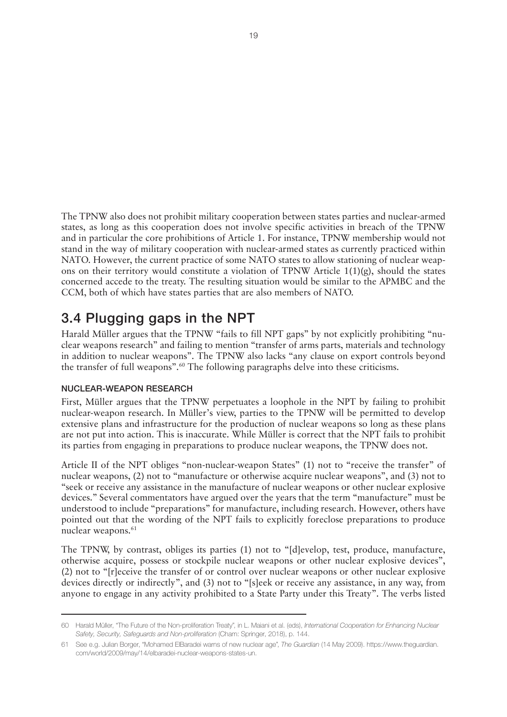<span id="page-22-0"></span>The TPNW also does not prohibit military cooperation between states parties and nuclear-armed states, as long as this cooperation does not involve specific activities in breach of the TPNW and in particular the core prohibitions of Article 1. For instance, TPNW membership would not stand in the way of military cooperation with nuclear-armed states as currently practiced within NATO. However, the current practice of some NATO states to allow stationing of nuclear weapons on their territory would constitute a violation of TPNW Article  $1(1)(g)$ , should the states concerned accede to the treaty. The resulting situation would be similar to the APMBC and the CCM, both of which have states parties that are also members of NATO.

### 3.4 Plugging gaps in the NPT

Harald Müller argues that the TPNW "fails to fill NPT gaps" by not explicitly prohibiting "nuclear weapons research" and failing to mention "transfer of arms parts, materials and technology in addition to nuclear weapons". The TPNW also lacks "any clause on export controls beyond the transfer of full weapons".<sup>60</sup> The following paragraphs delve into these criticisms.

#### NUCLEAR-WEAPON RESEARCH

First, Müller argues that the TPNW perpetuates a loophole in the NPT by failing to prohibit nuclear-weapon research. In Müller's view, parties to the TPNW will be permitted to develop extensive plans and infrastructure for the production of nuclear weapons so long as these plans are not put into action. This is inaccurate. While Müller is correct that the NPT fails to prohibit its parties from engaging in preparations to produce nuclear weapons, the TPNW does not.

Article II of the NPT obliges "non-nuclear-weapon States" (1) not to "receive the transfer" of nuclear weapons, (2) not to "manufacture or otherwise acquire nuclear weapons", and (3) not to "seek or receive any assistance in the manufacture of nuclear weapons or other nuclear explosive devices." Several commentators have argued over the years that the term "manufacture" must be understood to include "preparations" for manufacture, including research. However, others have pointed out that the wording of the NPT fails to explicitly foreclose preparations to produce nuclear weapons.<sup>61</sup>

The TPNW, by contrast, obliges its parties (1) not to "[d]evelop, test, produce, manufacture, otherwise acquire, possess or stockpile nuclear weapons or other nuclear explosive devices", (2) not to "[r]eceive the transfer of or control over nuclear weapons or other nuclear explosive devices directly or indirectly", and (3) not to "[s]eek or receive any assistance, in any way, from anyone to engage in any activity prohibited to a State Party under this Treaty". The verbs listed

<sup>60</sup> Harald Müller, "The Future of the Non-proliferation Treaty", in L. Maiani et al. (eds), *International Cooperation for Enhancing Nuclear Safety, Security, Safeguards and Non-proliferation* (Cham: Springer, 2018), p. 144.

<sup>61</sup> See e.g. Julian Borger, "Mohamed ElBaradei warns of new nuclear age", *The Guardian* (14 May 2009). [https://www.theguardian.](https://www.theguardian.com/world/2009/may/14/elbaradei-nuclear-weapons-states-un) [com/world/2009/may/14/elbaradei-nuclear-weapons-states-un.](https://www.theguardian.com/world/2009/may/14/elbaradei-nuclear-weapons-states-un)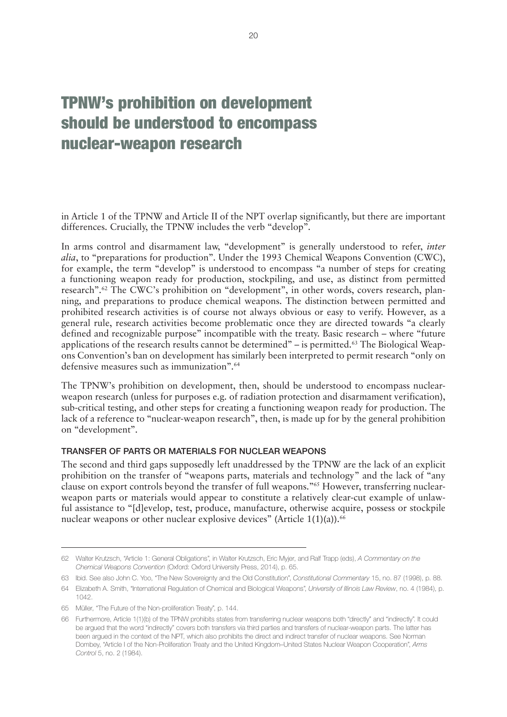## <span id="page-23-0"></span>TPNW's prohibition on development should be understood to encompass nuclear-weapon research

in Article 1 of the TPNW and Article II of the NPT overlap significantly, but there are important differences. Crucially, the TPNW includes the verb "develop".

In arms control and disarmament law, "development" is generally understood to refer, *inter alia*, to "preparations for production". Under the 1993 Chemical Weapons Convention (CWC), for example, the term "develop" is understood to encompass "a number of steps for creating a functioning weapon ready for production, stockpiling, and use, as distinct from permitted research".62 The CWC's prohibition on "development", in other words, covers research, planning, and preparations to produce chemical weapons. The distinction between permitted and prohibited research activities is of course not always obvious or easy to verify. However, as a general rule, research activities become problematic once they are directed towards "a clearly defined and recognizable purpose" incompatible with the treaty. Basic research – where "future applications of the research results cannot be determined" – is permitted.<sup>63</sup> The Biological Weapons Convention's ban on development has similarly been interpreted to permit research "only on defensive measures such as immunization".64

The TPNW's prohibition on development, then, should be understood to encompass nuclearweapon research (unless for purposes e.g. of radiation protection and disarmament verification), sub-critical testing, and other steps for creating a functioning weapon ready for production. The lack of a reference to "nuclear-weapon research", then, is made up for by the general prohibition on "development".

#### TRANSFER OF PARTS OR MATERIALS FOR NUCLEAR WEAPONS

The second and third gaps supposedly left unaddressed by the TPNW are the lack of an explicit prohibition on the transfer of "weapons parts, materials and technology" and the lack of "any clause on export controls beyond the transfer of full weapons."65 However, transferring nuclearweapon parts or materials would appear to constitute a relatively clear-cut example of unlawful assistance to "[d]evelop, test, produce, manufacture, otherwise acquire, possess or stockpile nuclear weapons or other nuclear explosive devices" (Article  $1(1)(a)$ ).<sup>66</sup>

<sup>62</sup> Walter Krutzsch, "Article 1: General Obligations", in Walter Krutzsch, Eric Myjer, and Ralf Trapp (eds), *A Commentary on the Chemical Weapons Convention* (Oxford: Oxford University Press, 2014), p. 65.

<sup>63</sup> Ibid. See also John C. Yoo, "The New Sovereignty and the Old Constitution", *Constitutional Commentary* 15, no. 87 (1998), p. 88.

<sup>64</sup> Elizabeth A. Smith, "International Regulation of Chemical and Biological Weapons", *University of Illinois Law Review*, no. 4 (1984), p. 1042.

<sup>65</sup> Müller, "The Future of the Non-proliferation Treaty", p. 144.

<sup>66</sup> Furthermore, Article 1(1)(b) of the TPNW prohibits states from transferring nuclear weapons both "directly" and "indirectly". It could be argued that the word "indirectly" covers both transfers via third parties and transfers of nuclear-weapon parts. The latter has been argued in the context of the NPT, which also prohibits the direct and indirect transfer of nuclear weapons. See Norman Dombey, "Article I of the Non-Proliferation Treaty and the United Kingdom–United States Nuclear Weapon Cooperation", *Arms Control* 5, no. 2 (1984).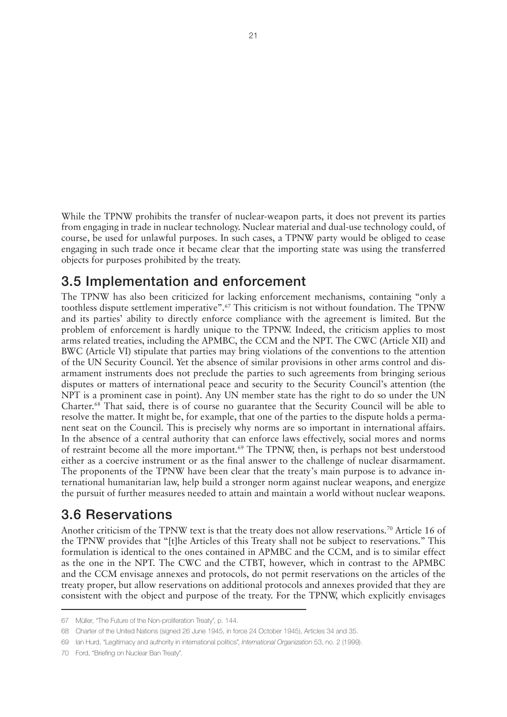<span id="page-24-0"></span>While the TPNW prohibits the transfer of nuclear-weapon parts, it does not prevent its parties from engaging in trade in nuclear technology. Nuclear material and dual-use technology could, of course, be used for unlawful purposes. In such cases, a TPNW party would be obliged to cease engaging in such trade once it became clear that the importing state was using the transferred objects for purposes prohibited by the treaty.

### 3.5 Implementation and enforcement

The TPNW has also been criticized for lacking enforcement mechanisms, containing "only a toothless dispute settlement imperative".67 This criticism is not without foundation. The TPNW and its parties' ability to directly enforce compliance with the agreement is limited. But the problem of enforcement is hardly unique to the TPNW. Indeed, the criticism applies to most arms related treaties, including the APMBC, the CCM and the NPT. The CWC (Article XII) and BWC (Article VI) stipulate that parties may bring violations of the conventions to the attention of the UN Security Council. Yet the absence of similar provisions in other arms control and disarmament instruments does not preclude the parties to such agreements from bringing serious disputes or matters of international peace and security to the Security Council's attention (the NPT is a prominent case in point). Any UN member state has the right to do so under the UN Charter.68 That said, there is of course no guarantee that the Security Council will be able to resolve the matter. It might be, for example, that one of the parties to the dispute holds a permanent seat on the Council. This is precisely why norms are so important in international affairs. In the absence of a central authority that can enforce laws effectively, social mores and norms of restraint become all the more important.<sup>69</sup> The TPNW, then, is perhaps not best understood either as a coercive instrument or as the final answer to the challenge of nuclear disarmament. The proponents of the TPNW have been clear that the treaty's main purpose is to advance international humanitarian law, help build a stronger norm against nuclear weapons, and energize the pursuit of further measures needed to attain and maintain a world without nuclear weapons.

### 3.6 Reservations

Another criticism of the TPNW text is that the treaty does not allow reservations.<sup>70</sup> Article 16 of the TPNW provides that "[t]he Articles of this Treaty shall not be subject to reservations." This formulation is identical to the ones contained in APMBC and the CCM, and is to similar effect as the one in the NPT. The CWC and the CTBT, however, which in contrast to the APMBC and the CCM envisage annexes and protocols, do not permit reservations on the articles of the treaty proper, but allow reservations on additional protocols and annexes provided that they are consistent with the object and purpose of the treaty. For the TPNW, which explicitly envisages

<sup>67</sup> Müller, "The Future of the Non-proliferation Treaty", p. 144.

<sup>68</sup> Charter of the United Nations (signed 26 June 1945, in force 24 October 1945), Articles 34 and 35.

<sup>69</sup> Ian Hurd, "Legitimacy and authority in international politics", *International Organization* 53, no. 2 (1999).

<sup>70</sup> Ford, "Briefing on Nuclear Ban Treaty".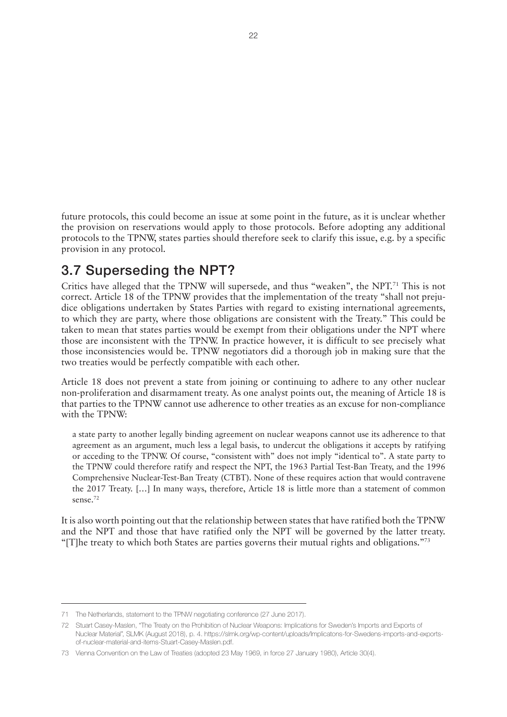<span id="page-25-0"></span>future protocols, this could become an issue at some point in the future, as it is unclear whether the provision on reservations would apply to those protocols. Before adopting any additional protocols to the TPNW, states parties should therefore seek to clarify this issue, e.g. by a specific provision in any protocol.

### 3.7 Superseding the NPT?

Critics have alleged that the TPNW will supersede, and thus "weaken", the NPT.<sup>71</sup> This is not correct. Article 18 of the TPNW provides that the implementation of the treaty "shall not prejudice obligations undertaken by States Parties with regard to existing international agreements, to which they are party, where those obligations are consistent with the Treaty." This could be taken to mean that states parties would be exempt from their obligations under the NPT where those are inconsistent with the TPNW. In practice however, it is difficult to see precisely what those inconsistencies would be. TPNW negotiators did a thorough job in making sure that the two treaties would be perfectly compatible with each other.

Article 18 does not prevent a state from joining or continuing to adhere to any other nuclear non-proliferation and disarmament treaty. As one analyst points out, the meaning of Article 18 is that parties to the TPNW cannot use adherence to other treaties as an excuse for non-compliance with the TPNW:

a state party to another legally binding agreement on nuclear weapons cannot use its adherence to that agreement as an argument, much less a legal basis, to undercut the obligations it accepts by ratifying or acceding to the TPNW. Of course, "consistent with" does not imply "identical to". A state party to the TPNW could therefore ratify and respect the NPT, the 1963 Partial Test-Ban Treaty, and the 1996 Comprehensive Nuclear-Test-Ban Treaty (CTBT). None of these requires action that would contravene the 2017 Treaty. […] In many ways, therefore, Article 18 is little more than a statement of common sense.<sup>72</sup>

It is also worth pointing out that the relationship between states that have ratified both the TPNW and the NPT and those that have ratified only the NPT will be governed by the latter treaty. "[T]he treaty to which both States are parties governs their mutual rights and obligations."<sup>73</sup>

<sup>71</sup> The Netherlands, statement to the TPNW negotiating conference (27 June 2017).

<sup>72</sup> Stuart Casey-Maslen, "The Treaty on the Prohibition of Nuclear Weapons: Implications for Sweden's Imports and Exports of Nuclear Material", SLMK (August 2018), p. 4. [https://slmk.org/wp-content/uploads/Implicatons-for-Swedens-imports-and-exports](https://slmk.org/wp-content/uploads/Implicatons-for-Swedens-imports-and-exports-of-nuclear-material-and-items-Stuart-Casey-Maslen.pdf)[of-nuclear-material-and-items-Stuart-Casey-Maslen.pdf](https://slmk.org/wp-content/uploads/Implicatons-for-Swedens-imports-and-exports-of-nuclear-material-and-items-Stuart-Casey-Maslen.pdf).

<sup>73</sup> Vienna Convention on the Law of Treaties (adopted 23 May 1969, in force 27 January 1980), Article 30(4).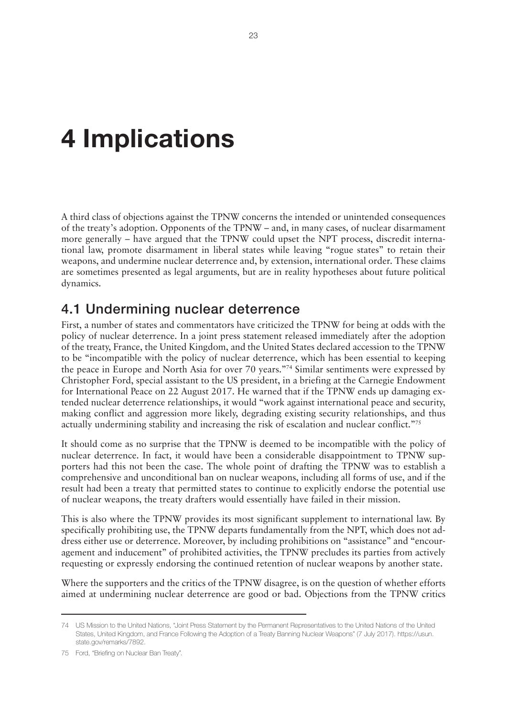# <span id="page-26-0"></span>**4 Implications**

A third class of objections against the TPNW concerns the intended or unintended consequences of the treaty's adoption. Opponents of the TPNW – and, in many cases, of nuclear disarmament more generally – have argued that the TPNW could upset the NPT process, discredit international law, promote disarmament in liberal states while leaving "rogue states" to retain their weapons, and undermine nuclear deterrence and, by extension, international order. These claims are sometimes presented as legal arguments, but are in reality hypotheses about future political dynamics.

#### 4.1 Undermining nuclear deterrence

First, a number of states and commentators have criticized the TPNW for being at odds with the policy of nuclear deterrence. In a joint press statement released immediately after the adoption of the treaty, France, the United Kingdom, and the United States declared accession to the TPNW to be "incompatible with the policy of nuclear deterrence, which has been essential to keeping the peace in Europe and North Asia for over 70 years."74 Similar sentiments were expressed by Christopher Ford, special assistant to the US president, in a briefing at the Carnegie Endowment for International Peace on 22 August 2017. He warned that if the TPNW ends up damaging extended nuclear deterrence relationships, it would "work against international peace and security, making conflict and aggression more likely, degrading existing security relationships, and thus actually undermining stability and increasing the risk of escalation and nuclear conflict."<sup>75</sup>

It should come as no surprise that the TPNW is deemed to be incompatible with the policy of nuclear deterrence. In fact, it would have been a considerable disappointment to TPNW supporters had this not been the case. The whole point of drafting the TPNW was to establish a comprehensive and unconditional ban on nuclear weapons, including all forms of use, and if the result had been a treaty that permitted states to continue to explicitly endorse the potential use of nuclear weapons, the treaty drafters would essentially have failed in their mission.

This is also where the TPNW provides its most significant supplement to international law. By specifically prohibiting use, the TPNW departs fundamentally from the NPT, which does not address either use or deterrence. Moreover, by including prohibitions on "assistance" and "encouragement and inducement" of prohibited activities, the TPNW precludes its parties from actively requesting or expressly endorsing the continued retention of nuclear weapons by another state.

Where the supporters and the critics of the TPNW disagree, is on the question of whether efforts aimed at undermining nuclear deterrence are good or bad. Objections from the TPNW critics

75 Ford, "Briefing on Nuclear Ban Treaty".

<sup>74</sup> US Mission to the United Nations, "Joint Press Statement by the Permanent Representatives to the United Nations of the United States, United Kingdom, and France Following the Adoption of a Treaty Banning Nuclear Weapons" (7 July 2017). [https://usun.](https://usun.state.gov/remarks/7892) [state.gov/remarks/7892.](https://usun.state.gov/remarks/7892)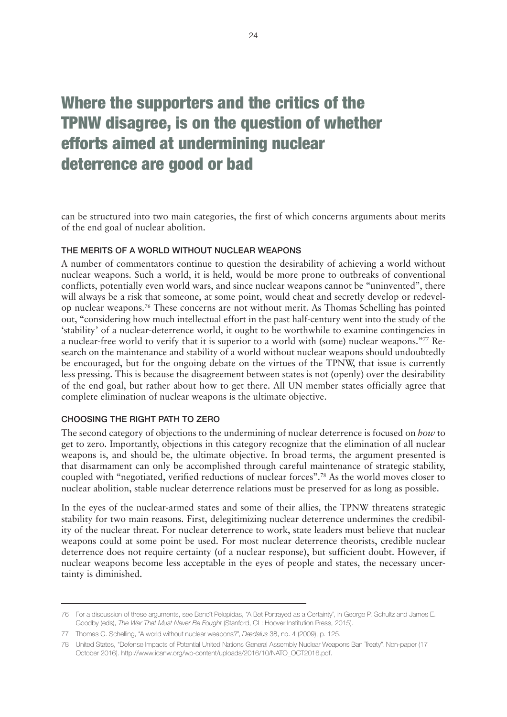## <span id="page-27-0"></span>Where the supporters and the critics of the TPNW disagree, is on the question of whether efforts aimed at undermining nuclear deterrence are good or bad

can be structured into two main categories, the first of which concerns arguments about merits of the end goal of nuclear abolition.

#### THE MERITS OF A WORLD WITHOUT NUCLEAR WEAPONS

A number of commentators continue to question the desirability of achieving a world without nuclear weapons. Such a world, it is held, would be more prone to outbreaks of conventional conflicts, potentially even world wars, and since nuclear weapons cannot be "uninvented", there will always be a risk that someone, at some point, would cheat and secretly develop or redevelop nuclear weapons.76 These concerns are not without merit. As Thomas Schelling has pointed out, "considering how much intellectual effort in the past half-century went into the study of the 'stability' of a nuclear-deterrence world, it ought to be worthwhile to examine contingencies in a nuclear-free world to verify that it is superior to a world with (some) nuclear weapons."77 Research on the maintenance and stability of a world without nuclear weapons should undoubtedly be encouraged, but for the ongoing debate on the virtues of the TPNW, that issue is currently less pressing. This is because the disagreement between states is not (openly) over the desirability of the end goal, but rather about how to get there. All UN member states officially agree that complete elimination of nuclear weapons is the ultimate objective.

#### CHOOSING THE RIGHT PATH TO ZERO

The second category of objections to the undermining of nuclear deterrence is focused on *how* to get to zero. Importantly, objections in this category recognize that the elimination of all nuclear weapons is, and should be, the ultimate objective. In broad terms, the argument presented is that disarmament can only be accomplished through careful maintenance of strategic stability, coupled with "negotiated, verified reductions of nuclear forces".78 As the world moves closer to nuclear abolition, stable nuclear deterrence relations must be preserved for as long as possible.

In the eyes of the nuclear-armed states and some of their allies, the TPNW threatens strategic stability for two main reasons. First, delegitimizing nuclear deterrence undermines the credibility of the nuclear threat. For nuclear deterrence to work, state leaders must believe that nuclear weapons could at some point be used. For most nuclear deterrence theorists, credible nuclear deterrence does not require certainty (of a nuclear response), but sufficient doubt. However, if nuclear weapons become less acceptable in the eyes of people and states, the necessary uncertainty is diminished.

<sup>76</sup> For a discussion of these arguments, see Benoît Pelopidas, "A Bet Portrayed as a Certainty", in George P. Schultz and James E. Goodby (eds), *The War That Must Never Be Fought* (Stanford, CL: Hoover Institution Press, 2015).

<sup>77</sup> Thomas C. Schelling, "A world without nuclear weapons?", *Dædalus* 38, no. 4 (2009), p. 125.

<sup>78</sup> United States, "Defense Impacts of Potential United Nations General Assembly Nuclear Weapons Ban Treaty", Non-paper (17 October 2016). [http://www.icanw.org/wp-content/uploads/2016/10/NATO\\_OCT2016.pdf](http://www.icanw.org/wp-content/uploads/2016/10/NATO_OCT2016.pdf).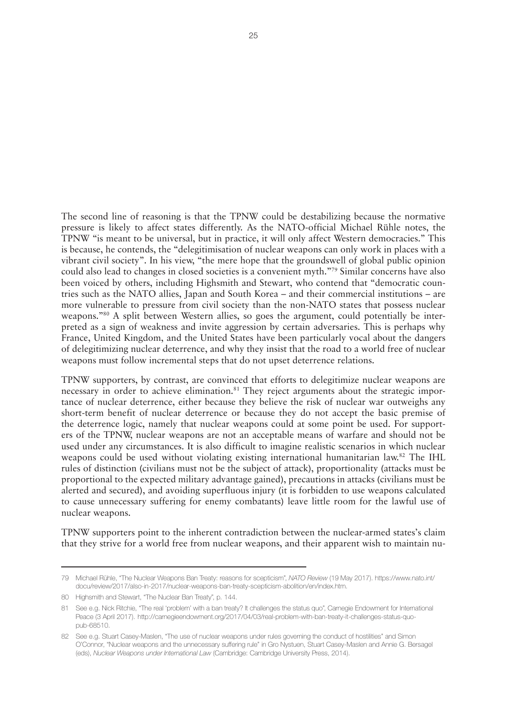The second line of reasoning is that the TPNW could be destabilizing because the normative pressure is likely to affect states differently. As the NATO-official Michael Rühle notes, the TPNW "is meant to be universal, but in practice, it will only affect Western democracies." This is because, he contends, the "delegitimisation of nuclear weapons can only work in places with a vibrant civil society". In his view, "the mere hope that the groundswell of global public opinion could also lead to changes in closed societies is a convenient myth."79 Similar concerns have also been voiced by others, including Highsmith and Stewart, who contend that "democratic countries such as the NATO allies, Japan and South Korea – and their commercial institutions – are more vulnerable to pressure from civil society than the non-NATO states that possess nuclear weapons."80 A split between Western allies, so goes the argument, could potentially be interpreted as a sign of weakness and invite aggression by certain adversaries. This is perhaps why France, United Kingdom, and the United States have been particularly vocal about the dangers of delegitimizing nuclear deterrence, and why they insist that the road to a world free of nuclear weapons must follow incremental steps that do not upset deterrence relations.

TPNW supporters, by contrast, are convinced that efforts to delegitimize nuclear weapons are necessary in order to achieve elimination.<sup>81</sup> They reject arguments about the strategic importance of nuclear deterrence, either because they believe the risk of nuclear war outweighs any short-term benefit of nuclear deterrence or because they do not accept the basic premise of the deterrence logic, namely that nuclear weapons could at some point be used. For supporters of the TPNW, nuclear weapons are not an acceptable means of warfare and should not be used under any circumstances. It is also difficult to imagine realistic scenarios in which nuclear weapons could be used without violating existing international humanitarian law.82 The IHL rules of distinction (civilians must not be the subject of attack), proportionality (attacks must be proportional to the expected military advantage gained), precautions in attacks (civilians must be alerted and secured), and avoiding superfluous injury (it is forbidden to use weapons calculated to cause unnecessary suffering for enemy combatants) leave little room for the lawful use of nuclear weapons.

TPNW supporters point to the inherent contradiction between the nuclear-armed states's claim that they strive for a world free from nuclear weapons, and their apparent wish to maintain nu-

<sup>79</sup> Michael Rühle, "The Nuclear Weapons Ban Treaty: reasons for scepticism", *NATO Review* (19 May 2017). [https://www.nato.int/](https://www.nato.int/docu/review/2017/also-in-2017/nuclear-weapons-ban-treaty-scepticism-abolition/en/index.htm) [docu/review/2017/also-in-2017/nuclear-weapons-ban-treaty-scepticism-abolition/en/index.htm](https://www.nato.int/docu/review/2017/also-in-2017/nuclear-weapons-ban-treaty-scepticism-abolition/en/index.htm).

<sup>80</sup> Highsmith and Stewart, "The Nuclear Ban Treaty", p. 144.

<sup>81</sup> See e.g. Nick Ritchie, "The real 'problem' with a ban treaty? It challenges the status quo", Carnegie Endowment for International Peace (3 April 2017). [http://carnegieendowment.org/2017/04/03/real-problem-with-ban-treaty-it-challenges-status-quo](http://carnegieendowment.org/2017/04/03/real-problem-with-ban-treaty-it-challenges-status-quo-pub-68510)[pub-68510](http://carnegieendowment.org/2017/04/03/real-problem-with-ban-treaty-it-challenges-status-quo-pub-68510).

<sup>82</sup> See e.g. Stuart Casey-Maslen, "The use of nuclear weapons under rules governing the conduct of hostilities" and Simon O'Connor, "Nuclear weapons and the unnecessary suffering rule" in Gro Nystuen, Stuart Casey-Maslen and Annie G. Bersagel (eds), *Nuclear Weapons under International Law* (Cambridge: Cambridge University Press, 2014).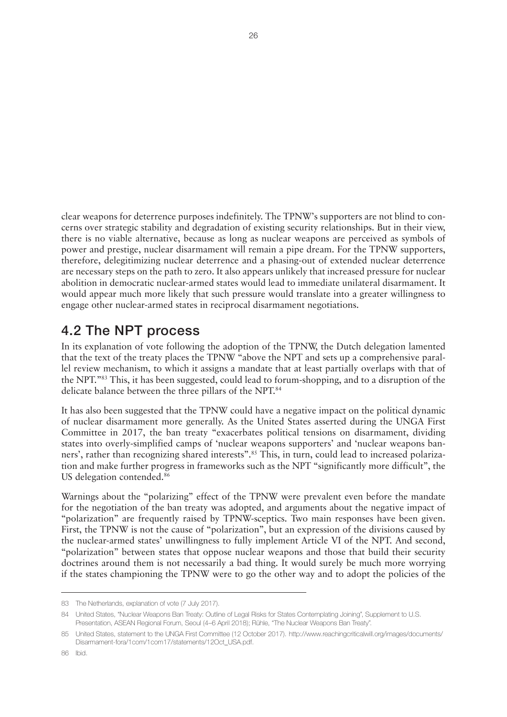<span id="page-29-0"></span>clear weapons for deterrence purposes indefinitely. The TPNW's supporters are not blind to concerns over strategic stability and degradation of existing security relationships. But in their view, there is no viable alternative, because as long as nuclear weapons are perceived as symbols of power and prestige, nuclear disarmament will remain a pipe dream. For the TPNW supporters, therefore, delegitimizing nuclear deterrence and a phasing-out of extended nuclear deterrence are necessary steps on the path to zero. It also appears unlikely that increased pressure for nuclear abolition in democratic nuclear-armed states would lead to immediate unilateral disarmament. It would appear much more likely that such pressure would translate into a greater willingness to engage other nuclear-armed states in reciprocal disarmament negotiations.

### 4.2 The NPT process

In its explanation of vote following the adoption of the TPNW, the Dutch delegation lamented that the text of the treaty places the TPNW "above the NPT and sets up a comprehensive parallel review mechanism, to which it assigns a mandate that at least partially overlaps with that of the NPT."83 This, it has been suggested, could lead to forum-shopping, and to a disruption of the delicate balance between the three pillars of the NPT.<sup>84</sup>

It has also been suggested that the TPNW could have a negative impact on the political dynamic of nuclear disarmament more generally. As the United States asserted during the UNGA First Committee in 2017, the ban treaty "exacerbates political tensions on disarmament, dividing states into overly-simplified camps of 'nuclear weapons supporters' and 'nuclear weapons banners', rather than recognizing shared interests".<sup>85</sup> This, in turn, could lead to increased polarization and make further progress in frameworks such as the NPT "significantly more difficult", the US delegation contended.<sup>86</sup>

Warnings about the "polarizing" effect of the TPNW were prevalent even before the mandate for the negotiation of the ban treaty was adopted, and arguments about the negative impact of "polarization" are frequently raised by TPNW-sceptics. Two main responses have been given. First, the TPNW is not the cause of "polarization", but an expression of the divisions caused by the nuclear-armed states' unwillingness to fully implement Article VI of the NPT. And second, "polarization" between states that oppose nuclear weapons and those that build their security doctrines around them is not necessarily a bad thing. It would surely be much more worrying if the states championing the TPNW were to go the other way and to adopt the policies of the

<sup>83</sup> The Netherlands, explanation of vote (7 July 2017).

<sup>84</sup> United States, "Nuclear Weapons Ban Treaty: Outline of Legal Risks for States Contemplating Joining", Supplement to U.S. Presentation, ASEAN Regional Forum, Seoul (4–6 April 2018); Rühle, "The Nuclear Weapons Ban Treaty".

<sup>85</sup> United States, statement to the UNGA First Committee (12 October 2017). [http://www.reachingcriticalwill.org/images/documents/](http://www.reachingcriticalwill.org/images/documents/Disarmament-fora/1com/1com17/statements/12Oct_USA.pdf) [Disarmament-fora/1com/1com17/statements/12Oct\\_USA.pdf.](http://www.reachingcriticalwill.org/images/documents/Disarmament-fora/1com/1com17/statements/12Oct_USA.pdf)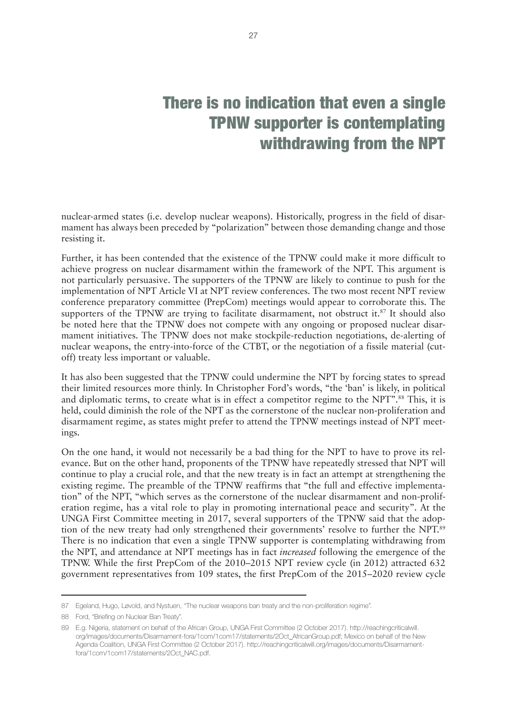# There is no indication that even a single TPNW supporter is contemplating withdrawing from the NPT

nuclear-armed states (i.e. develop nuclear weapons). Historically, progress in the field of disarmament has always been preceded by "polarization" between those demanding change and those resisting it.

Further, it has been contended that the existence of the TPNW could make it more difficult to achieve progress on nuclear disarmament within the framework of the NPT. This argument is not particularly persuasive. The supporters of the TPNW are likely to continue to push for the implementation of NPT Article VI at NPT review conferences. The two most recent NPT review conference preparatory committee (PrepCom) meetings would appear to corroborate this. The supporters of the TPNW are trying to facilitate disarmament, not obstruct it.<sup>87</sup> It should also be noted here that the TPNW does not compete with any ongoing or proposed nuclear disarmament initiatives. The TPNW does not make stockpile-reduction negotiations, de-alerting of nuclear weapons, the entry-into-force of the CTBT, or the negotiation of a fissile material (cutoff) treaty less important or valuable.

It has also been suggested that the TPNW could undermine the NPT by forcing states to spread their limited resources more thinly. In Christopher Ford's words, "the 'ban' is likely, in political and diplomatic terms, to create what is in effect a competitor regime to the NPT".<sup>88</sup> This, it is held, could diminish the role of the NPT as the cornerstone of the nuclear non-proliferation and disarmament regime, as states might prefer to attend the TPNW meetings instead of NPT meetings.

On the one hand, it would not necessarily be a bad thing for the NPT to have to prove its relevance. But on the other hand, proponents of the TPNW have repeatedly stressed that NPT will continue to play a crucial role, and that the new treaty is in fact an attempt at strengthening the existing regime. The preamble of the TPNW reaffirms that "the full and effective implementation" of the NPT, "which serves as the cornerstone of the nuclear disarmament and non-proliferation regime, has a vital role to play in promoting international peace and security". At the UNGA First Committee meeting in 2017, several supporters of the TPNW said that the adoption of the new treaty had only strengthened their governments' resolve to further the NPT.<sup>89</sup> There is no indication that even a single TPNW supporter is contemplating withdrawing from the NPT, and attendance at NPT meetings has in fact *increased* following the emergence of the TPNW. While the first PrepCom of the 2010–2015 NPT review cycle (in 2012) attracted 632 government representatives from 109 states, the first PrepCom of the 2015–2020 review cycle

<sup>87</sup> Egeland, Hugo, Løvold, and Nystuen, "The nuclear weapons ban treaty and the non-proliferation regime".

<sup>88</sup> Ford, "Briefing on Nuclear Ban Treaty".

<sup>89</sup> E.g. Nigeria, statement on behalf of the African Group, UNGA First Committee (2 October 2017). [http://reachingcriticalwill.](http://reachingcriticalwill.org/images/documents/Disarmament-fora/1com/1com17/statements/2Oct_AfricanGroup.pdf) [org/images/documents/Disarmament-fora/1com/1com17/statements/2Oct\\_AfricanGroup.pdf](http://reachingcriticalwill.org/images/documents/Disarmament-fora/1com/1com17/statements/2Oct_AfricanGroup.pdf); Mexico on behalf of the New Agenda Coalition, UNGA First Committee (2 October 2017). [http://reachingcriticalwill.org/images/documents/Disarmament](http://reachingcriticalwill.org/images/documents/Disarmament-fora/1com/1com17/statements/2Oct_NAC.pdf)[fora/1com/1com17/statements/2Oct\\_NAC.pdf](http://reachingcriticalwill.org/images/documents/Disarmament-fora/1com/1com17/statements/2Oct_NAC.pdf).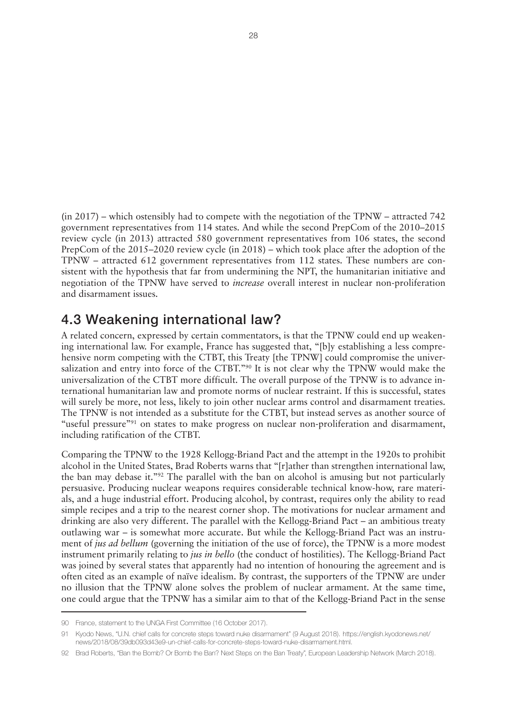<span id="page-31-0"></span>(in 2017) – which ostensibly had to compete with the negotiation of the TPNW – attracted 742 government representatives from 114 states. And while the second PrepCom of the 2010–2015 review cycle (in 2013) attracted 580 government representatives from 106 states, the second PrepCom of the 2015–2020 review cycle (in 2018) – which took place after the adoption of the TPNW – attracted 612 government representatives from 112 states. These numbers are consistent with the hypothesis that far from undermining the NPT, the humanitarian initiative and negotiation of the TPNW have served to *increase* overall interest in nuclear non-proliferation and disarmament issues.

### 4.3 Weakening international law?

A related concern, expressed by certain commentators, is that the TPNW could end up weakening international law. For example, France has suggested that, "[b]y establishing a less comprehensive norm competing with the CTBT, this Treaty [the TPNW] could compromise the universalization and entry into force of the CTBT."90 It is not clear why the TPNW would make the universalization of the CTBT more difficult. The overall purpose of the TPNW is to advance international humanitarian law and promote norms of nuclear restraint. If this is successful, states will surely be more, not less, likely to join other nuclear arms control and disarmament treaties. The TPNW is not intended as a substitute for the CTBT, but instead serves as another source of "useful pressure"<sup>91</sup> on states to make progress on nuclear non-proliferation and disarmament, including ratification of the CTBT.

Comparing the TPNW to the 1928 Kellogg-Briand Pact and the attempt in the 1920s to prohibit alcohol in the United States, Brad Roberts warns that "[r]ather than strengthen international law, the ban may debase it."92 The parallel with the ban on alcohol is amusing but not particularly persuasive. Producing nuclear weapons requires considerable technical know-how, rare materials, and a huge industrial effort. Producing alcohol, by contrast, requires only the ability to read simple recipes and a trip to the nearest corner shop. The motivations for nuclear armament and drinking are also very different. The parallel with the Kellogg-Briand Pact – an ambitious treaty outlawing war – is somewhat more accurate. But while the Kellogg-Briand Pact was an instrument of *jus ad bellum* (governing the initiation of the use of force), the TPNW is a more modest instrument primarily relating to *jus in bello* (the conduct of hostilities). The Kellogg-Briand Pact was joined by several states that apparently had no intention of honouring the agreement and is often cited as an example of naïve idealism. By contrast, the supporters of the TPNW are under no illusion that the TPNW alone solves the problem of nuclear armament. At the same time, one could argue that the TPNW has a similar aim to that of the Kellogg-Briand Pact in the sense

<sup>90</sup> France, statement to the UNGA First Committee (16 October 2017).

<sup>91</sup> Kyodo News, "U.N. chief calls for concrete steps toward nuke disarmament" (9 August 2018). [https://english.kyodonews.net/](https://english.kyodonews.net/news/2018/08/39db093d43e9-un-chief-calls-for-concrete-steps-toward-nuke-disarmament.html) [news/2018/08/39db093d43e9-un-chief-calls-for-concrete-steps-toward-nuke-disarmament.html.](https://english.kyodonews.net/news/2018/08/39db093d43e9-un-chief-calls-for-concrete-steps-toward-nuke-disarmament.html)

<sup>92</sup> Brad Roberts, "Ban the Bomb? Or Bomb the Ban? Next Steps on the Ban Treaty", European Leadership Network (March 2018).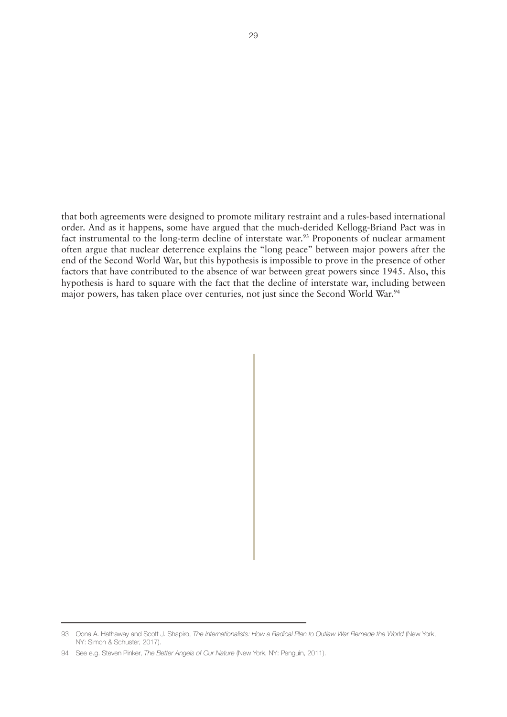that both agreements were designed to promote military restraint and a rules-based international order. And as it happens, some have argued that the much-derided Kellogg-Briand Pact was in fact instrumental to the long-term decline of interstate war.<sup>93</sup> Proponents of nuclear armament often argue that nuclear deterrence explains the "long peace" between major powers after the end of the Second World War, but this hypothesis is impossible to prove in the presence of other factors that have contributed to the absence of war between great powers since 1945. Also, this hypothesis is hard to square with the fact that the decline of interstate war, including between major powers, has taken place over centuries, not just since the Second World War.<sup>94</sup>

<sup>93</sup> Oona A. Hathaway and Scott J. Shapiro, *The Internationalists: How a Radical Plan to Outlaw War Remade the World* (New York, NY: Simon & Schuster, 2017).

<sup>94</sup> See e.g. Steven Pinker, *The Better Angels of Our Nature* (New York, NY: Penguin, 2011).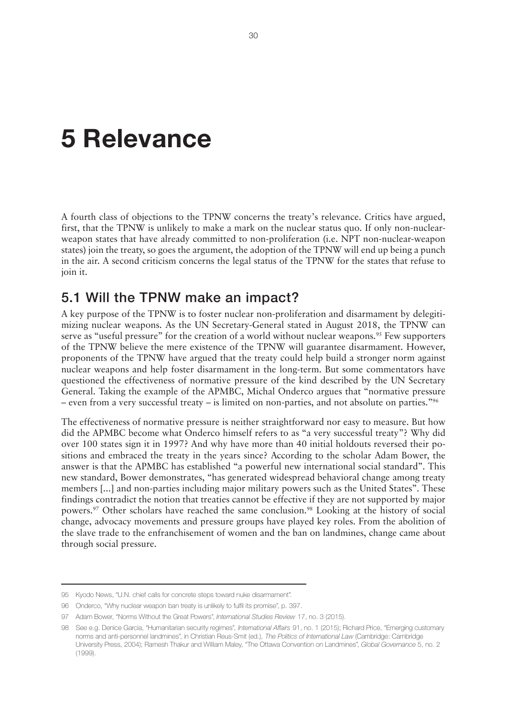# <span id="page-33-0"></span>**5 Relevance**

A fourth class of objections to the TPNW concerns the treaty's relevance. Critics have argued, first, that the TPNW is unlikely to make a mark on the nuclear status quo. If only non-nuclearweapon states that have already committed to non-proliferation (i.e. NPT non-nuclear-weapon states) join the treaty, so goes the argument, the adoption of the TPNW will end up being a punch in the air. A second criticism concerns the legal status of the TPNW for the states that refuse to join it.

### 5.1 Will the TPNW make an impact?

A key purpose of the TPNW is to foster nuclear non-proliferation and disarmament by delegitimizing nuclear weapons. As the UN Secretary-General stated in August 2018, the TPNW can serve as "useful pressure" for the creation of a world without nuclear weapons.<sup>95</sup> Few supporters of the TPNW believe the mere existence of the TPNW will guarantee disarmament. However, proponents of the TPNW have argued that the treaty could help build a stronger norm against nuclear weapons and help foster disarmament in the long-term. But some commentators have questioned the effectiveness of normative pressure of the kind described by the UN Secretary General. Taking the example of the APMBC, Michal Onderco argues that "normative pressure – even from a very successful treaty – is limited on non-parties, and not absolute on parties."96

The effectiveness of normative pressure is neither straightforward nor easy to measure. But how did the APMBC become what Onderco himself refers to as "a very successful treaty"? Why did over 100 states sign it in 1997? And why have more than 40 initial holdouts reversed their positions and embraced the treaty in the years since? According to the scholar Adam Bower, the answer is that the APMBC has established "a powerful new international social standard". This new standard, Bower demonstrates, "has generated widespread behavioral change among treaty members [...] and non-parties including major military powers such as the United States". These findings contradict the notion that treaties cannot be effective if they are not supported by major powers.97 Other scholars have reached the same conclusion.98 Looking at the history of social change, advocacy movements and pressure groups have played key roles. From the abolition of the slave trade to the enfranchisement of women and the ban on landmines, change came about through social pressure.

<sup>95</sup> Kyodo News, "U.N. chief calls for concrete steps toward nuke disarmament".

<sup>96</sup> Onderco, "Why nuclear weapon ban treaty is unlikely to fulfil its promise", p. 397.

<sup>97</sup> Adam Bower, "Norms Without the Great Powers", *International Studies Review* 17, no. 3 (2015).

<sup>98</sup> See e.g. Denice Garcia, "Humanitarian security regimes", *International Affairs* 91, no. 1 (2015); Richard Price, "Emerging customary norms and anti-personnel landmines", in Christian Reus-Smit (ed.), *The Politics of International Law* (Cambridge: Cambridge University Press, 2004); Ramesh Thakur and William Maley, "The Ottawa Convention on Landmines", *Global Governance* 5, no. 2 (1999).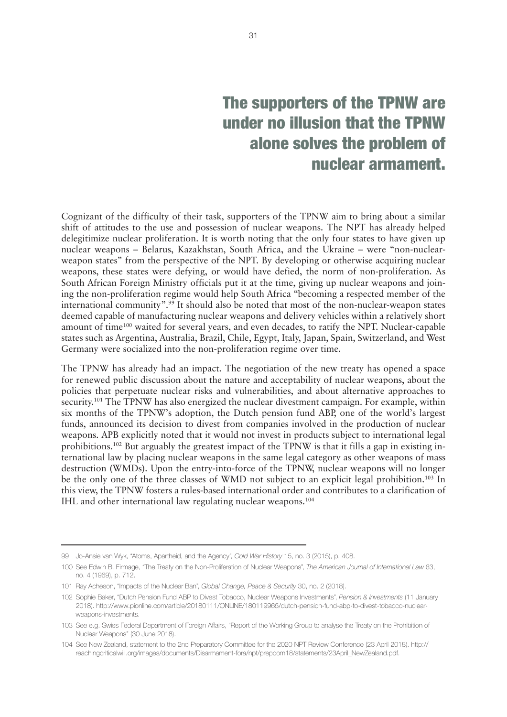## The supporters of the TPNW are under no illusion that the TPNW alone solves the problem of nuclear armament.

Cognizant of the difficulty of their task, supporters of the TPNW aim to bring about a similar shift of attitudes to the use and possession of nuclear weapons. The NPT has already helped delegitimize nuclear proliferation. It is worth noting that the only four states to have given up nuclear weapons – Belarus, Kazakhstan, South Africa, and the Ukraine – were "non-nuclearweapon states" from the perspective of the NPT. By developing or otherwise acquiring nuclear weapons, these states were defying, or would have defied, the norm of non-proliferation. As South African Foreign Ministry officials put it at the time, giving up nuclear weapons and joining the non-proliferation regime would help South Africa "becoming a respected member of the international community".99 It should also be noted that most of the non-nuclear-weapon states deemed capable of manufacturing nuclear weapons and delivery vehicles within a relatively short amount of time<sup>100</sup> waited for several years, and even decades, to ratify the NPT. Nuclear-capable states such as Argentina, Australia, Brazil, Chile, Egypt, Italy, Japan, Spain, Switzerland, and West Germany were socialized into the non-proliferation regime over time.

The TPNW has already had an impact. The negotiation of the new treaty has opened a space for renewed public discussion about the nature and acceptability of nuclear weapons, about the policies that perpetuate nuclear risks and vulnerabilities, and about alternative approaches to security.<sup>101</sup> The TPNW has also energized the nuclear divestment campaign. For example, within six months of the TPNW's adoption, the Dutch pension fund ABP, one of the world's largest funds, announced its decision to divest from companies involved in the production of nuclear weapons. APB explicitly noted that it would not invest in products subject to international legal prohibitions.102 But arguably the greatest impact of the TPNW is that it fills a gap in existing international law by placing nuclear weapons in the same legal category as other weapons of mass destruction (WMDs). Upon the entry-into-force of the TPNW, nuclear weapons will no longer be the only one of the three classes of WMD not subject to an explicit legal prohibition.<sup>103</sup> In this view, the TPNW fosters a rules-based international order and contributes to a clarification of IHL and other international law regulating nuclear weapons.104

<sup>99</sup> Jo-Ansie van Wyk, "Atoms, Apartheid, and the Agency", *Cold War History* 15, no. 3 (2015), p. 408.

<sup>100</sup> See Edwin B. Firmage, "The Treaty on the Non-Proliferation of Nuclear Weapons", *The American Journal of International Law* 63, no. 4 (1969), p. 712.

<sup>101</sup> Ray Acheson, "Impacts of the Nuclear Ban", *Global Change, Peace & Security* 30, no. 2 (2018).

<sup>102</sup> Sophie Baker, "Dutch Pension Fund ABP to Divest Tobacco, Nuclear Weapons Investments", *Pension & Investments* (11 January 2018). [http://www.pionline.com/article/20180111/ONLINE/180119965/dutch-pension-fund-abp-to-divest-tobacco-nuclear](http://www.pionline.com/article/20180111/ONLINE/180119965/dutch-pension-fund-abp-to-divest-tobacco-nuclear-weapons-investments)[weapons-investments](http://www.pionline.com/article/20180111/ONLINE/180119965/dutch-pension-fund-abp-to-divest-tobacco-nuclear-weapons-investments).

<sup>103</sup> See e.g. Swiss Federal Department of Foreign Affairs, "Report of the Working Group to analyse the Treaty on the Prohibition of Nuclear Weapons" (30 June 2018).

<sup>104</sup> See New Zealand, statement to the 2nd Preparatory Committee for the 2020 NPT Review Conference (23 April 2018). [http://](http://reachingcriticalwill.org/images/documents/Disarmament-fora/npt/prepcom18/statements/23April_NewZealand.pdf) [reachingcriticalwill.org/images/documents/Disarmament-fora/npt/prepcom18/statements/23April\\_NewZealand.pdf](http://reachingcriticalwill.org/images/documents/Disarmament-fora/npt/prepcom18/statements/23April_NewZealand.pdf).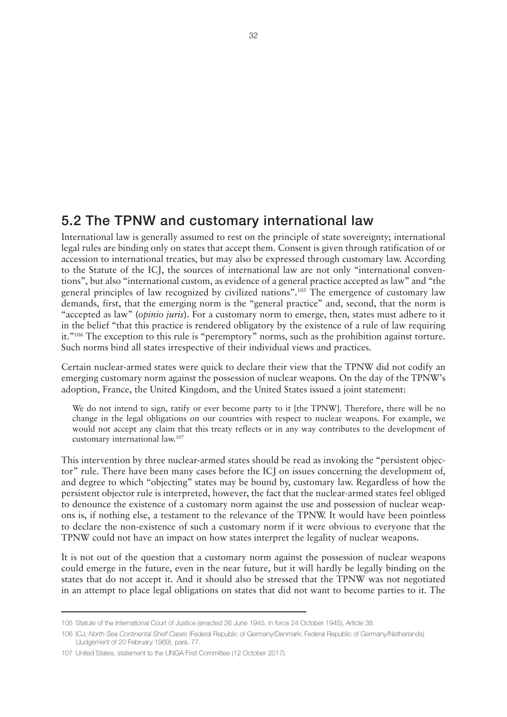## <span id="page-35-0"></span>5.2 The TPNW and customary international law

International law is generally assumed to rest on the principle of state sovereignty; international legal rules are binding only on states that accept them. Consent is given through ratification of or accession to international treaties, but may also be expressed through customary law. According to the Statute of the ICJ, the sources of international law are not only "international conventions", but also "international custom, as evidence of a general practice accepted as law" and "the general principles of law recognized by civilized nations".105 The emergence of customary law demands, first, that the emerging norm is the "general practice" and, second, that the norm is "accepted as law" (*opinio juris*). For a customary norm to emerge, then, states must adhere to it in the belief "that this practice is rendered obligatory by the existence of a rule of law requiring it."106 The exception to this rule is "peremptory" norms, such as the prohibition against torture. Such norms bind all states irrespective of their individual views and practices.

Certain nuclear-armed states were quick to declare their view that the TPNW did not codify an emerging customary norm against the possession of nuclear weapons. On the day of the TPNW's adoption, France, the United Kingdom, and the United States issued a joint statement:

We do not intend to sign, ratify or ever become party to it [the TPNW]. Therefore, there will be no change in the legal obligations on our countries with respect to nuclear weapons. For example, we would not accept any claim that this treaty reflects or in any way contributes to the development of customary international law.107

This intervention by three nuclear-armed states should be read as invoking the "persistent objector" rule. There have been many cases before the ICJ on issues concerning the development of, and degree to which "objecting" states may be bound by, customary law. Regardless of how the persistent objector rule is interpreted, however, the fact that the nuclear-armed states feel obliged to denounce the existence of a customary norm against the use and possession of nuclear weapons is, if nothing else, a testament to the relevance of the TPNW. It would have been pointless to declare the non-existence of such a customary norm if it were obvious to everyone that the TPNW could not have an impact on how states interpret the legality of nuclear weapons.

It is not out of the question that a customary norm against the possession of nuclear weapons could emerge in the future, even in the near future, but it will hardly be legally binding on the states that do not accept it. And it should also be stressed that the TPNW was not negotiated in an attempt to place legal obligations on states that did not want to become parties to it. The

<sup>105</sup> Statute of the International Court of Justice (enacted 26 June 1945, in force 24 October 1945), Article 38.

<sup>106</sup> ICJ, *North Sea Continental Shelf Cases* (Federal Republic of Germany/Denmark; Federal Republic of Germany/Netherlands) (Judgement of 20 February 1969), para. 77.

<sup>107</sup> United States, statement to the UNGA First Committee (12 October 2017).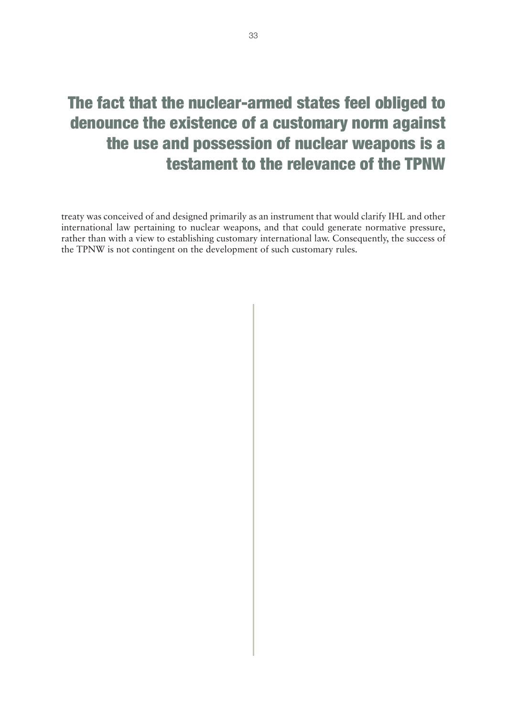# The fact that the nuclear-armed states feel obliged to denounce the existence of a customary norm against the use and possession of nuclear weapons is a testament to the relevance of the TPNW

treaty was conceived of and designed primarily as an instrument that would clarify IHL and other international law pertaining to nuclear weapons, and that could generate normative pressure, rather than with a view to establishing customary international law. Consequently, the success of the TPNW is not contingent on the development of such customary rules.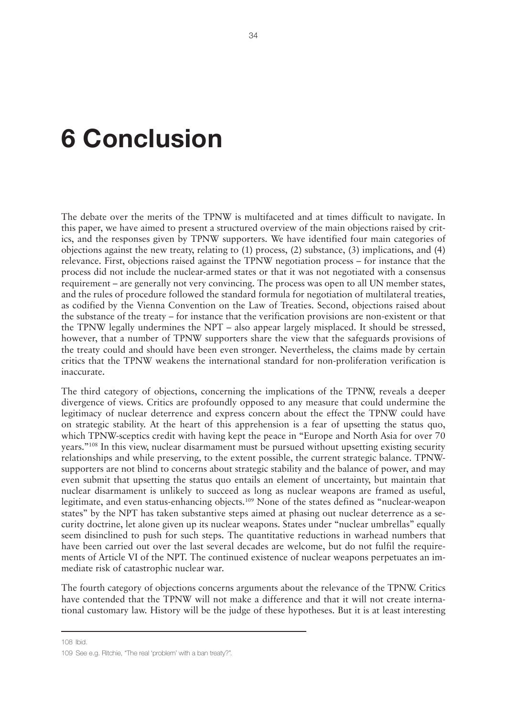# <span id="page-37-0"></span>**6 Conclusion**

The debate over the merits of the TPNW is multifaceted and at times difficult to navigate. In this paper, we have aimed to present a structured overview of the main objections raised by critics, and the responses given by TPNW supporters. We have identified four main categories of objections against the new treaty, relating to (1) process, (2) substance, (3) implications, and (4) relevance. First, objections raised against the TPNW negotiation process – for instance that the process did not include the nuclear-armed states or that it was not negotiated with a consensus requirement – are generally not very convincing. The process was open to all UN member states, and the rules of procedure followed the standard formula for negotiation of multilateral treaties, as codified by the Vienna Convention on the Law of Treaties. Second, objections raised about the substance of the treaty – for instance that the verification provisions are non-existent or that the TPNW legally undermines the NPT – also appear largely misplaced. It should be stressed, however, that a number of TPNW supporters share the view that the safeguards provisions of the treaty could and should have been even stronger. Nevertheless, the claims made by certain critics that the TPNW weakens the international standard for non-proliferation verification is inaccurate.

The third category of objections, concerning the implications of the TPNW, reveals a deeper divergence of views. Critics are profoundly opposed to any measure that could undermine the legitimacy of nuclear deterrence and express concern about the effect the TPNW could have on strategic stability. At the heart of this apprehension is a fear of upsetting the status quo, which TPNW-sceptics credit with having kept the peace in "Europe and North Asia for over 70 years."108 In this view, nuclear disarmament must be pursued without upsetting existing security relationships and while preserving, to the extent possible, the current strategic balance. TPNWsupporters are not blind to concerns about strategic stability and the balance of power, and may even submit that upsetting the status quo entails an element of uncertainty, but maintain that nuclear disarmament is unlikely to succeed as long as nuclear weapons are framed as useful, legitimate, and even status-enhancing objects.<sup>109</sup> None of the states defined as "nuclear-weapon states" by the NPT has taken substantive steps aimed at phasing out nuclear deterrence as a security doctrine, let alone given up its nuclear weapons. States under "nuclear umbrellas" equally seem disinclined to push for such steps. The quantitative reductions in warhead numbers that have been carried out over the last several decades are welcome, but do not fulfil the requirements of Article VI of the NPT. The continued existence of nuclear weapons perpetuates an immediate risk of catastrophic nuclear war.

The fourth category of objections concerns arguments about the relevance of the TPNW. Critics have contended that the TPNW will not make a difference and that it will not create international customary law. History will be the judge of these hypotheses. But it is at least interesting

108 Ibid.

<sup>109</sup> See e.g. Ritchie, "The real 'problem' with a ban treaty?".